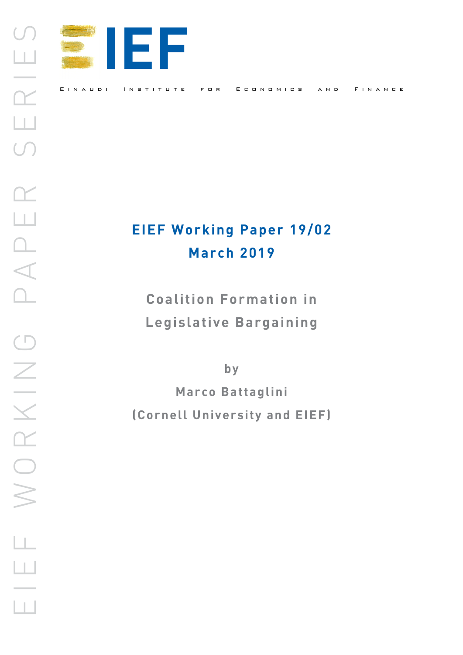

Einaudi Institute for Economics and Finance

# **EIEF Working Paper 19/02 March 2019**

**Coalition Formation in Legislative Bargaining**

**by**

**Marco Battaglini (Cornell University and EIEF)**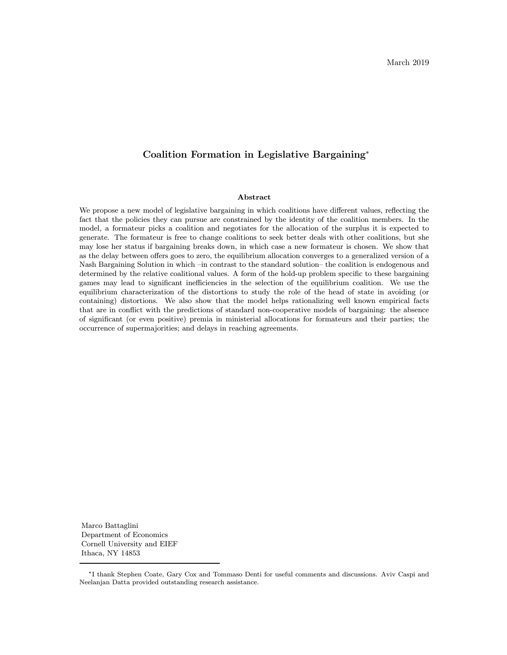# Coalition Formation in Legislative Bargaining<sup>∗</sup>

#### Abstract

We propose a new model of legislative bargaining in which coalitions have different values, reflecting the fact that the policies they can pursue are constrained by the identity of the coalition members. In the model, a formateur picks a coalition and negotiates for the allocation of the surplus it is expected to generate. The formateur is free to change coalitions to seek better deals with other coalitions, but she may lose her status if bargaining breaks down, in which case a new formateur is chosen. We show that as the delay between offers goes to zero, the equilibrium allocation converges to a generalized version of a Nash Bargaining Solution in which –in contrast to the standard solution– the coalition is endogenous and determined by the relative coalitional values. A form of the hold-up problem specific to these bargaining games may lead to significant inefficiencies in the selection of the equilibrium coalition. We use the equilibrium characterization of the distortions to study the role of the head of state in avoiding (or containing) distortions. We also show that the model helps rationalizing well known empirical facts that are in conflict with the predictions of standard non-cooperative models of bargaining: the absence of significant (or even positive) premia in ministerial allocations for formateurs and their parties; the occurrence of supermajorities; and delays in reaching agreements.

Marco Battaglini Department of Economics Cornell University and EIEF Ithaca, NY 14853

<sup>∗</sup>I thank Stephen Coate, Gary Cox and Tommaso Denti for useful comments and discussions. Aviv Caspi and Neelanjan Datta provided outstanding research assistance.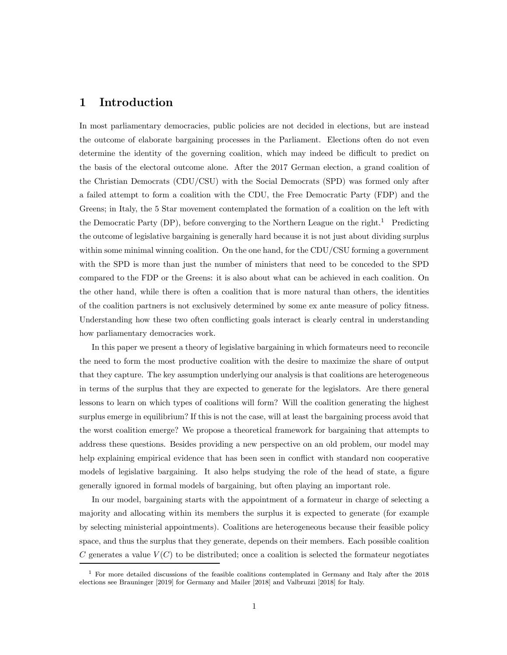# 1 Introduction

In most parliamentary democracies, public policies are not decided in elections, but are instead the outcome of elaborate bargaining processes in the Parliament. Elections often do not even determine the identity of the governing coalition, which may indeed be difficult to predict on the basis of the electoral outcome alone. After the 2017 German election, a grand coalition of the Christian Democrats (CDU/CSU) with the Social Democrats (SPD) was formed only after a failed attempt to form a coalition with the CDU, the Free Democratic Party (FDP) and the Greens; in Italy, the 5 Star movement contemplated the formation of a coalition on the left with the Democratic Party  $(DP)$ , before converging to the Northern League on the right.<sup>1</sup> Predicting the outcome of legislative bargaining is generally hard because it is not just about dividing surplus within some minimal winning coalition. On the one hand, for the CDU/CSU forming a government with the SPD is more than just the number of ministers that need to be conceded to the SPD compared to the FDP or the Greens: it is also about what can be achieved in each coalition. On the other hand, while there is often a coalition that is more natural than others, the identities of the coalition partners is not exclusively determined by some ex ante measure of policy fitness. Understanding how these two often conflicting goals interact is clearly central in understanding how parliamentary democracies work.

In this paper we present a theory of legislative bargaining in which formateurs need to reconcile the need to form the most productive coalition with the desire to maximize the share of output that they capture. The key assumption underlying our analysis is that coalitions are heterogeneous in terms of the surplus that they are expected to generate for the legislators. Are there general lessons to learn on which types of coalitions will form? Will the coalition generating the highest surplus emerge in equilibrium? If this is not the case, will at least the bargaining process avoid that the worst coalition emerge? We propose a theoretical framework for bargaining that attempts to address these questions. Besides providing a new perspective on an old problem, our model may help explaining empirical evidence that has been seen in conflict with standard non cooperative models of legislative bargaining. It also helps studying the role of the head of state, a figure generally ignored in formal models of bargaining, but often playing an important role.

In our model, bargaining starts with the appointment of a formateur in charge of selecting a majority and allocating within its members the surplus it is expected to generate (for example by selecting ministerial appointments). Coalitions are heterogeneous because their feasible policy space, and thus the surplus that they generate, depends on their members. Each possible coalition C generates a value  $V(C)$  to be distributed; once a coalition is selected the formateur negotiates

 $1$  For more detailed discussions of the feasible coalitions contemplated in Germany and Italy after the 2018 elections see Brauninger [2019] for Germany and Mailer [2018] and Valbruzzi [2018] for Italy.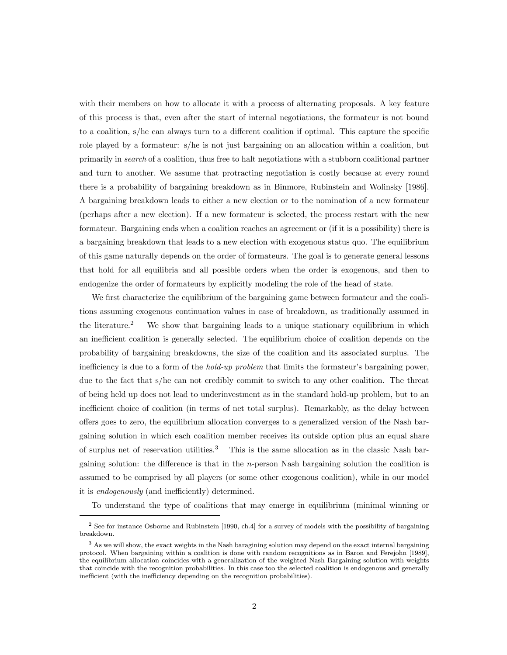with their members on how to allocate it with a process of alternating proposals. A key feature of this process is that, even after the start of internal negotiations, the formateur is not bound to a coalition, s/he can always turn to a different coalition if optimal. This capture the specific role played by a formateur: s/he is not just bargaining on an allocation within a coalition, but primarily in search of a coalition, thus free to halt negotiations with a stubborn coalitional partner and turn to another. We assume that protracting negotiation is costly because at every round there is a probability of bargaining breakdown as in Binmore, Rubinstein and Wolinsky [1986]. A bargaining breakdown leads to either a new election or to the nomination of a new formateur (perhaps after a new election). If a new formateur is selected, the process restart with the new formateur. Bargaining ends when a coalition reaches an agreement or (if it is a possibility) there is a bargaining breakdown that leads to a new election with exogenous status quo. The equilibrium of this game naturally depends on the order of formateurs. The goal is to generate general lessons that hold for all equilibria and all possible orders when the order is exogenous, and then to endogenize the order of formateurs by explicitly modeling the role of the head of state.

We first characterize the equilibrium of the bargaining game between formateur and the coalitions assuming exogenous continuation values in case of breakdown, as traditionally assumed in the literature.<sup>2</sup> We show that bargaining leads to a unique stationary equilibrium in which an inefficient coalition is generally selected. The equilibrium choice of coalition depends on the probability of bargaining breakdowns, the size of the coalition and its associated surplus. The inefficiency is due to a form of the *hold-up problem* that limits the formateur's bargaining power, due to the fact that s/he can not credibly commit to switch to any other coalition. The threat of being held up does not lead to underinvestment as in the standard hold-up problem, but to an inefficient choice of coalition (in terms of net total surplus). Remarkably, as the delay between offers goes to zero, the equilibrium allocation converges to a generalized version of the Nash bargaining solution in which each coalition member receives its outside option plus an equal share of surplus net of reservation utilities.<sup>3</sup> This is the same allocation as in the classic Nash bargaining solution: the difference is that in the *n*-person Nash bargaining solution the coalition is assumed to be comprised by all players (or some other exogenous coalition), while in our model it is endogenously (and inefficiently) determined.

To understand the type of coalitions that may emerge in equilibrium (minimal winning or

<sup>&</sup>lt;sup>2</sup> See for instance Osborne and Rubinstein [1990, ch.4] for a survey of models with the possibility of bargaining breakdown.

<sup>&</sup>lt;sup>3</sup> As we will show, the exact weights in the Nash baragining solution may depend on the exact internal bargaining protocol. When bargaining within a coalition is done with random recognitions as in Baron and Ferejohn [1989], the equilibrium allocation coincides with a generalization of the weighted Nash Bargaining solution with weights that coincide with the recognition probabilities. In this case too the selected coalition is endogenous and generally inefficient (with the inefficiency depending on the recognition probabilities).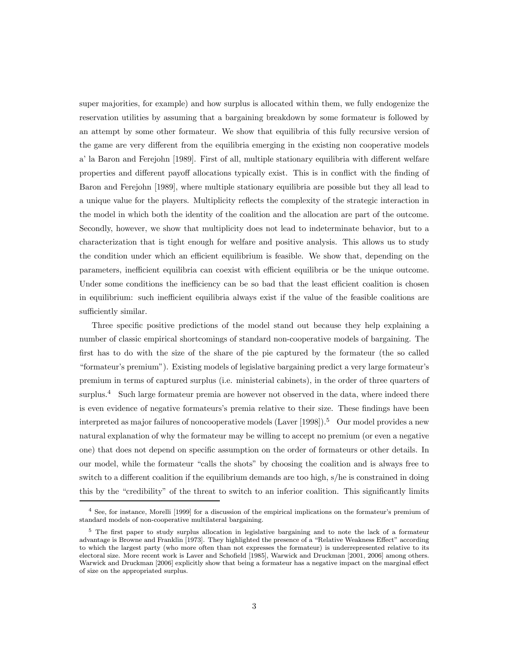super majorities, for example) and how surplus is allocated within them, we fully endogenize the reservation utilities by assuming that a bargaining breakdown by some formateur is followed by an attempt by some other formateur. We show that equilibria of this fully recursive version of the game are very different from the equilibria emerging in the existing non cooperative models a' la Baron and Ferejohn [1989]. First of all, multiple stationary equilibria with different welfare properties and different payoff allocations typically exist. This is in conflict with the finding of Baron and Ferejohn [1989], where multiple stationary equilibria are possible but they all lead to a unique value for the players. Multiplicity reflects the complexity of the strategic interaction in the model in which both the identity of the coalition and the allocation are part of the outcome. Secondly, however, we show that multiplicity does not lead to indeterminate behavior, but to a characterization that is tight enough for welfare and positive analysis. This allows us to study the condition under which an efficient equilibrium is feasible. We show that, depending on the parameters, inefficient equilibria can coexist with efficient equilibria or be the unique outcome. Under some conditions the inefficiency can be so bad that the least efficient coalition is chosen in equilibrium: such inefficient equilibria always exist if the value of the feasible coalitions are sufficiently similar.

Three specific positive predictions of the model stand out because they help explaining a number of classic empirical shortcomings of standard non-cooperative models of bargaining. The first has to do with the size of the share of the pie captured by the formateur (the so called "formateur's premium"). Existing models of legislative bargaining predict a very large formateur's premium in terms of captured surplus (i.e. ministerial cabinets), in the order of three quarters of surplus.<sup>4</sup> Such large formateur premia are however not observed in the data, where indeed there is even evidence of negative formateurs's premia relative to their size. These findings have been interpreted as major failures of noncooperative models (Laver  $[1998]$ ).<sup>5</sup> Our model provides a new natural explanation of why the formateur may be willing to accept no premium (or even a negative one) that does not depend on specific assumption on the order of formateurs or other details. In our model, while the formateur "calls the shots" by choosing the coalition and is always free to switch to a different coalition if the equilibrium demands are too high, s/he is constrained in doing this by the "credibility" of the threat to switch to an inferior coalition. This significantly limits

<sup>4</sup> See, for instance, Morelli [1999] for a discussion of the empirical implications on the formateur's premium of standard models of non-cooperative multilateral bargaining.

<sup>5</sup> The first paper to study surplus allocation in legislative bargaining and to note the lack of a formateur advantage is Browne and Franklin [1973]. They highlighted the presence of a "Relative Weakness Effect" according to which the largest party (who more often than not expresses the formateur) is underrepresented relative to its electoral size. More recent work is Laver and Schofield [1985], Warwick and Druckman [2001, 2006] among others. Warwick and Druckman [2006] explicitly show that being a formateur has a negative impact on the marginal effect of size on the appropriated surplus.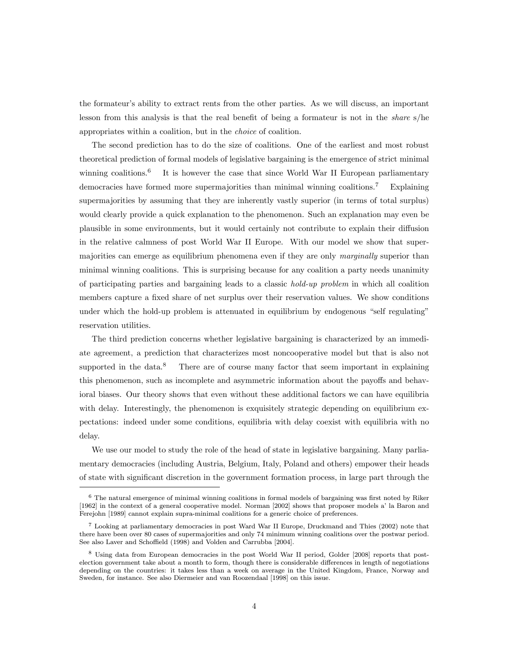the formateur's ability to extract rents from the other parties. As we will discuss, an important lesson from this analysis is that the real benefit of being a formateur is not in the share s/he appropriates within a coalition, but in the choice of coalition.

The second prediction has to do the size of coalitions. One of the earliest and most robust theoretical prediction of formal models of legislative bargaining is the emergence of strict minimal winning coalitions.<sup>6</sup> It is however the case that since World War II European parliamentary democracies have formed more supermajorities than minimal winning coalitions.<sup>7</sup> Explaining supermajorities by assuming that they are inherently vastly superior (in terms of total surplus) would clearly provide a quick explanation to the phenomenon. Such an explanation may even be plausible in some environments, but it would certainly not contribute to explain their diffusion in the relative calmness of post World War II Europe. With our model we show that supermajorities can emerge as equilibrium phenomena even if they are only *marginally* superior than minimal winning coalitions. This is surprising because for any coalition a party needs unanimity of participating parties and bargaining leads to a classic hold-up problem in which all coalition members capture a fixed share of net surplus over their reservation values. We show conditions under which the hold-up problem is attenuated in equilibrium by endogenous "self regulating" reservation utilities.

The third prediction concerns whether legislative bargaining is characterized by an immediate agreement, a prediction that characterizes most noncooperative model but that is also not supported in the data.<sup>8</sup> There are of course many factor that seem important in explaining this phenomenon, such as incomplete and asymmetric information about the payoffs and behavioral biases. Our theory shows that even without these additional factors we can have equilibria with delay. Interestingly, the phenomenon is exquisitely strategic depending on equilibrium expectations: indeed under some conditions, equilibria with delay coexist with equilibria with no delay.

We use our model to study the role of the head of state in legislative bargaining. Many parliamentary democracies (including Austria, Belgium, Italy, Poland and others) empower their heads of state with significant discretion in the government formation process, in large part through the

<sup>6</sup> The natural emergence of minimal winning coalitions in formal models of bargaining was first noted by Riker [1962] in the context of a general cooperative model. Norman [2002] shows that proposer models a' la Baron and Ferejohn [1989] cannot explain supra-minimal coalitions for a generic choice of preferences.

<sup>7</sup> Looking at parliamentary democracies in post Ward War II Europe, Druckmand and Thies (2002) note that there have been over 80 cases of supermajorities and only 74 minimum winning coalitions over the postwar period. See also Laver and Schoffield (1998) and Volden and Carrubba [2004].

<sup>8</sup> Using data from European democracies in the post World War II period, Golder [2008] reports that postelection government take about a month to form, though there is considerable differences in length of negotiations depending on the countries: it takes less than a week on average in the United Kingdom, France, Norway and Sweden, for instance. See also Diermeier and van Roozendaal [1998] on this issue.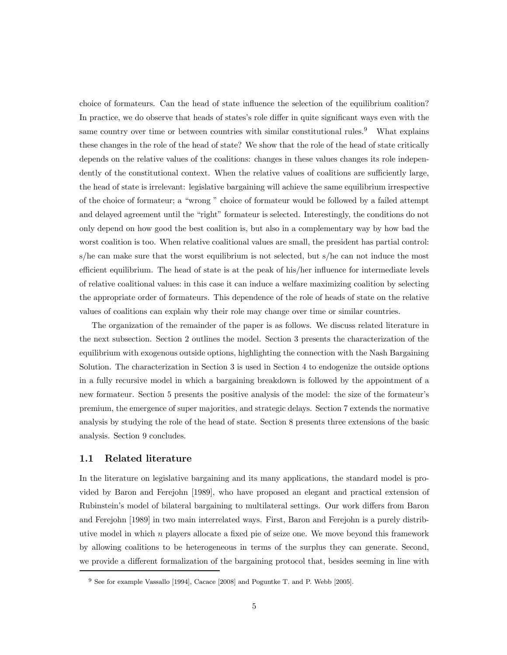choice of formateurs. Can the head of state influence the selection of the equilibrium coalition? In practice, we do observe that heads of states's role differ in quite significant ways even with the same country over time or between countries with similar constitutional rules.<sup>9</sup> What explains these changes in the role of the head of state? We show that the role of the head of state critically depends on the relative values of the coalitions: changes in these values changes its role independently of the constitutional context. When the relative values of coalitions are sufficiently large, the head of state is irrelevant: legislative bargaining will achieve the same equilibrium irrespective of the choice of formateur; a "wrong " choice of formateur would be followed by a failed attempt and delayed agreement until the "right" formateur is selected. Interestingly, the conditions do not only depend on how good the best coalition is, but also in a complementary way by how bad the worst coalition is too. When relative coalitional values are small, the president has partial control: s/he can make sure that the worst equilibrium is not selected, but s/he can not induce the most efficient equilibrium. The head of state is at the peak of his/her influence for intermediate levels of relative coalitional values: in this case it can induce a welfare maximizing coalition by selecting the appropriate order of formateurs. This dependence of the role of heads of state on the relative values of coalitions can explain why their role may change over time or similar countries.

The organization of the remainder of the paper is as follows. We discuss related literature in the next subsection. Section 2 outlines the model. Section 3 presents the characterization of the equilibrium with exogenous outside options, highlighting the connection with the Nash Bargaining Solution. The characterization in Section 3 is used in Section 4 to endogenize the outside options in a fully recursive model in which a bargaining breakdown is followed by the appointment of a new formateur. Section 5 presents the positive analysis of the model: the size of the formateur's premium, the emergence of super majorities, and strategic delays. Section 7 extends the normative analysis by studying the role of the head of state. Section 8 presents three extensions of the basic analysis. Section 9 concludes.

#### 1.1 Related literature

In the literature on legislative bargaining and its many applications, the standard model is provided by Baron and Ferejohn [1989], who have proposed an elegant and practical extension of Rubinstein's model of bilateral bargaining to multilateral settings. Our work differs from Baron and Ferejohn [1989] in two main interrelated ways. First, Baron and Ferejohn is a purely distributive model in which  $n$  players allocate a fixed pie of seize one. We move beyond this framework by allowing coalitions to be heterogeneous in terms of the surplus they can generate. Second, we provide a different formalization of the bargaining protocol that, besides seeming in line with

<sup>9</sup> See for example Vassallo [1994], Cacace [2008] and Poguntke T. and P. Webb [2005].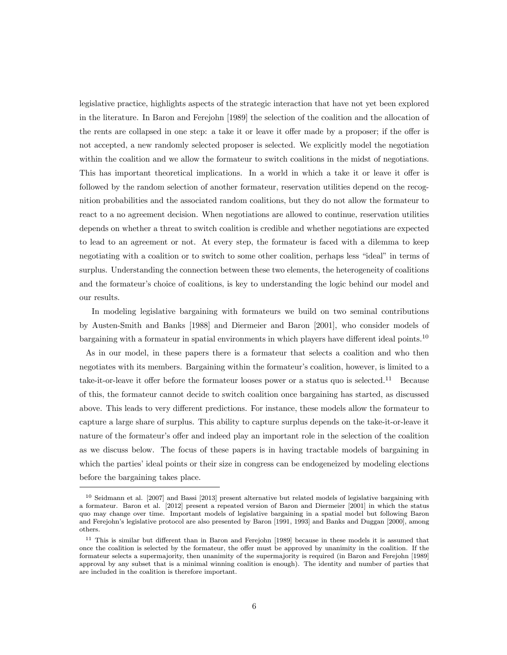legislative practice, highlights aspects of the strategic interaction that have not yet been explored in the literature. In Baron and Ferejohn [1989] the selection of the coalition and the allocation of the rents are collapsed in one step: a take it or leave it offer made by a proposer; if the offer is not accepted, a new randomly selected proposer is selected. We explicitly model the negotiation within the coalition and we allow the formateur to switch coalitions in the midst of negotiations. This has important theoretical implications. In a world in which a take it or leave it offer is followed by the random selection of another formateur, reservation utilities depend on the recognition probabilities and the associated random coalitions, but they do not allow the formateur to react to a no agreement decision. When negotiations are allowed to continue, reservation utilities depends on whether a threat to switch coalition is credible and whether negotiations are expected to lead to an agreement or not. At every step, the formateur is faced with a dilemma to keep negotiating with a coalition or to switch to some other coalition, perhaps less "ideal" in terms of surplus. Understanding the connection between these two elements, the heterogeneity of coalitions and the formateur's choice of coalitions, is key to understanding the logic behind our model and our results.

In modeling legislative bargaining with formateurs we build on two seminal contributions by Austen-Smith and Banks [1988] and Diermeier and Baron [2001], who consider models of bargaining with a formateur in spatial environments in which players have different ideal points.<sup>10</sup>

As in our model, in these papers there is a formateur that selects a coalition and who then negotiates with its members. Bargaining within the formateur's coalition, however, is limited to a take-it-or-leave it offer before the formateur looses power or a status quo is selected.<sup>11</sup> Because of this, the formateur cannot decide to switch coalition once bargaining has started, as discussed above. This leads to very different predictions. For instance, these models allow the formateur to capture a large share of surplus. This ability to capture surplus depends on the take-it-or-leave it nature of the formateur's offer and indeed play an important role in the selection of the coalition as we discuss below. The focus of these papers is in having tractable models of bargaining in which the parties' ideal points or their size in congress can be endogeneized by modeling elections before the bargaining takes place.

 $10$  Seidmann et al. [2007] and Bassi [2013] present alternative but related models of legislative bargaining with a formateur. Baron et al. [2012] present a repeated version of Baron and Diermeier [2001] in which the status quo may change over time. Important models of legislative bargaining in a spatial model but following Baron and Ferejohn's legislative protocol are also presented by Baron [1991, 1993] and Banks and Duggan [2000], among others.

<sup>&</sup>lt;sup>11</sup> This is similar but different than in Baron and Ferejohn [1989] because in these models it is assumed that once the coalition is selected by the formateur, the offer must be approved by unanimity in the coalition. If the formateur selects a supermajority, then unanimity of the supermajority is required (in Baron and Ferejohn [1989] approval by any subset that is a minimal winning coalition is enough). The identity and number of parties that are included in the coalition is therefore important.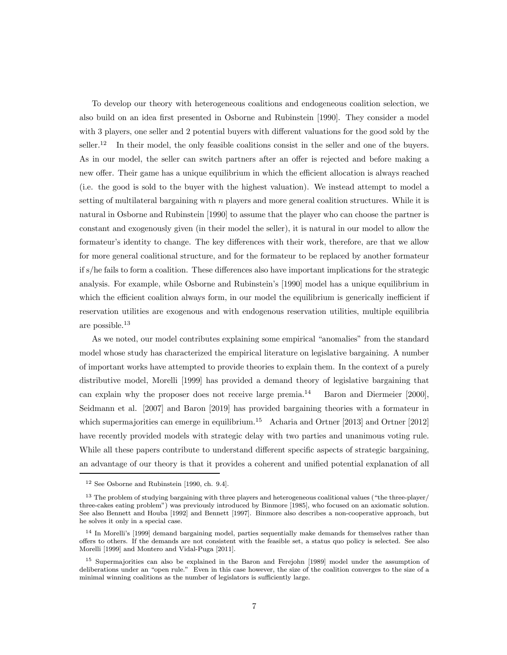To develop our theory with heterogeneous coalitions and endogeneous coalition selection, we also build on an idea first presented in Osborne and Rubinstein [1990]. They consider a model with 3 players, one seller and 2 potential buyers with different valuations for the good sold by the seller.<sup>12</sup> In their model, the only feasible coalitions consist in the seller and one of the buyers. As in our model, the seller can switch partners after an offer is rejected and before making a new offer. Their game has a unique equilibrium in which the efficient allocation is always reached (i.e. the good is sold to the buyer with the highest valuation). We instead attempt to model a setting of multilateral bargaining with  $n$  players and more general coalition structures. While it is natural in Osborne and Rubinstein [1990] to assume that the player who can choose the partner is constant and exogenously given (in their model the seller), it is natural in our model to allow the formateur's identity to change. The key differences with their work, therefore, are that we allow for more general coalitional structure, and for the formateur to be replaced by another formateur if s/he fails to form a coalition. These differences also have important implications for the strategic analysis. For example, while Osborne and Rubinstein's [1990] model has a unique equilibrium in which the efficient coalition always form, in our model the equilibrium is generically inefficient if reservation utilities are exogenous and with endogenous reservation utilities, multiple equilibria are possible.<sup>13</sup>

As we noted, our model contributes explaining some empirical "anomalies" from the standard model whose study has characterized the empirical literature on legislative bargaining. A number of important works have attempted to provide theories to explain them. In the context of a purely distributive model, Morelli [1999] has provided a demand theory of legislative bargaining that can explain why the proposer does not receive large premia.<sup>14</sup> Baron and Diermeier [2000], Seidmann et al. [2007] and Baron [2019] has provided bargaining theories with a formateur in which supermajorities can emerge in equilibrium.<sup>15</sup> Acharia and Ortner [2013] and Ortner [2012] have recently provided models with strategic delay with two parties and unanimous voting rule. While all these papers contribute to understand different specific aspects of strategic bargaining, an advantage of our theory is that it provides a coherent and unified potential explanation of all

<sup>12</sup> See Osborne and Rubinstein [1990, ch. 9.4].

 $13$  The problem of studying bargaining with three players and heterogeneous coalitional values ("the three-player/ three-cakes eating problem") was previously introduced by Binmore [1985], who focused on an axiomatic solution. See also Bennett and Houba [1992] and Bennett [1997]. Binmore also describes a non-cooperative approach, but he solves it only in a special case.

<sup>&</sup>lt;sup>14</sup> In Morelli's [1999] demand bargaining model, parties sequentially make demands for themselves rather than offers to others. If the demands are not consistent with the feasible set, a status quo policy is selected. See also Morelli [1999] and Montero and Vidal-Puga [2011].

<sup>15</sup> Supermajorities can also be explained in the Baron and Ferejohn [1989] model under the assumption of deliberations under an "open rule." Even in this case however, the size of the coalition converges to the size of a minimal winning coalitions as the number of legislators is sufficiently large.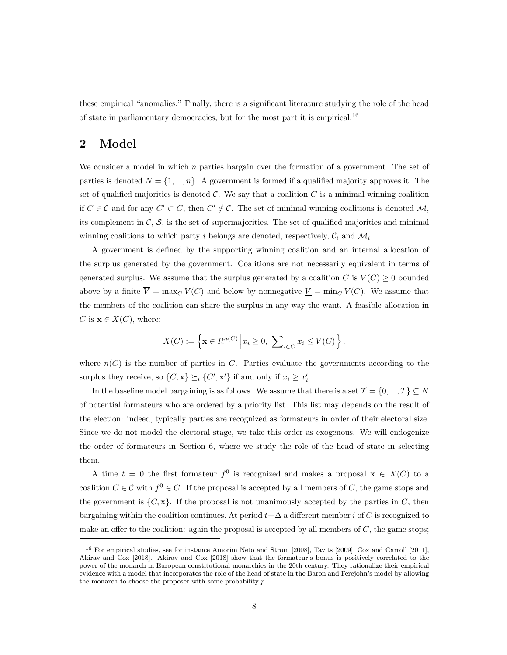these empirical "anomalies." Finally, there is a significant literature studying the role of the head of state in parliamentary democracies, but for the most part it is empirical.<sup>16</sup>

# 2 Model

We consider a model in which  $n$  parties bargain over the formation of a government. The set of parties is denoted  $N = \{1, ..., n\}$ . A government is formed if a qualified majority approves it. The set of qualified majorities is denoted  $\mathcal{C}$ . We say that a coalition  $C$  is a minimal winning coalition if  $C \in \mathcal{C}$  and for any  $C' \subset C$ , then  $C' \notin \mathcal{C}$ . The set of minimal winning coalitions is denoted  $\mathcal{M}$ , its complement in  $\mathcal{C}, \mathcal{S}$ , is the set of supermajorities. The set of qualified majorities and minimal winning coalitions to which party *i* belongs are denoted, respectively,  $C_i$  and  $M_i$ .

A government is defined by the supporting winning coalition and an internal allocation of the surplus generated by the government. Coalitions are not necessarily equivalent in terms of generated surplus. We assume that the surplus generated by a coalition C is  $V(C) \geq 0$  bounded above by a finite  $\overline{V} = \max_C V(C)$  and below by nonnegative  $\underline{V} = \min_C V(C)$ . We assume that the members of the coalition can share the surplus in any way the want. A feasible allocation in C is  $\mathbf{x} \in X(C)$ , where:

$$
X(C) := \left\{ \mathbf{x} \in R^{n(C)} \, \middle| \, x_i \ge 0, \, \sum_{i \in C} x_i \le V(C) \right\}.
$$

where  $n(C)$  is the number of parties in C. Parties evaluate the governments according to the surplus they receive, so  $\{C, \mathbf{x}\}\succeq_i \{C', \mathbf{x}'\}$  if and only if  $x_i \geq x'_i$ .

In the baseline model bargaining is as follows. We assume that there is a set  $\mathcal{T} = \{0, ..., T\} \subseteq N$ of potential formateurs who are ordered by a priority list. This list may depends on the result of the election: indeed, typically parties are recognized as formateurs in order of their electoral size. Since we do not model the electoral stage, we take this order as exogenous. We will endogenize the order of formateurs in Section 6, where we study the role of the head of state in selecting them.

A time  $t = 0$  the first formateur  $f^0$  is recognized and makes a proposal  $\mathbf{x} \in X(C)$  to a coalition  $C \in \mathcal{C}$  with  $f^0 \in C$ . If the proposal is accepted by all members of C, the game stops and the government is  $\{C, \mathbf{x}\}\$ . If the proposal is not unanimously accepted by the parties in C, then bargaining within the coalition continues. At period  $t + \Delta$  a different member i of C is recognized to make an offer to the coalition: again the proposal is accepted by all members of  $C$ , the game stops;

<sup>16</sup> For empirical studies, see for instance Amorim Neto and Strom [2008], Tavits [2009], Cox and Carroll [2011], Akirav and Cox [2018]. Akirav and Cox [2018] show that the formateur's bonus is positively correlated to the power of the monarch in European constitutional monarchies in the 20th century. They rationalize their empirical evidence with a model that incorporates the role of the head of state in the Baron and Ferejohn's model by allowing the monarch to choose the proposer with some probability  $p$ .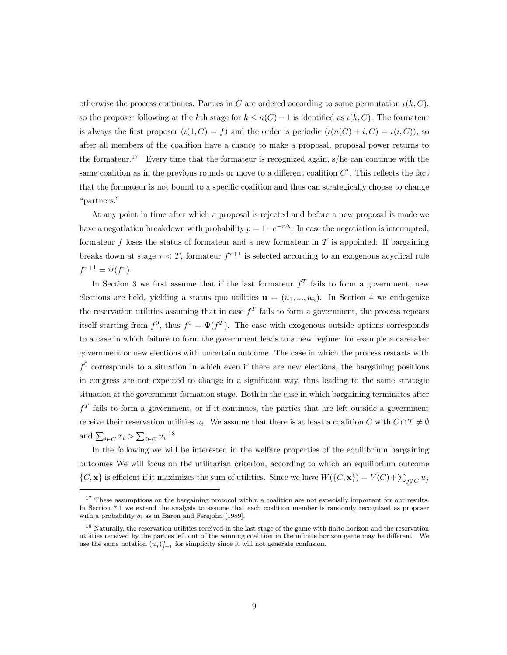otherwise the process continues. Parties in C are ordered according to some permutation  $\iota(k, C)$ , so the proposer following at the kth stage for  $k \leq n(C) - 1$  is identified as  $\iota(k, C)$ . The formateur is always the first proposer  $(\iota(1, C) = f)$  and the order is periodic  $(\iota(n(C) + i, C) = \iota(i, C))$ , so after all members of the coalition have a chance to make a proposal, proposal power returns to the formateur.<sup>17</sup> Every time that the formateur is recognized again,  $s/h$ e can continue with the same coalition as in the previous rounds or move to a different coalition  $C'$ . This reflects the fact that the formateur is not bound to a specific coalition and thus can strategically choose to change "partners."

At any point in time after which a proposal is rejected and before a new proposal is made we have a negotiation breakdown with probability  $p = 1-e^{-r\Delta}$ . In case the negotiation is interrupted, formateur f loses the status of formateur and a new formateur in  $\mathcal T$  is appointed. If bargaining breaks down at stage  $\tau < T$ , formateur  $f^{\tau+1}$  is selected according to an exogenous acyclical rule  $f^{\tau+1} = \Psi(f^{\tau}).$ 

In Section 3 we first assume that if the last formateur  $f<sup>T</sup>$  fails to form a government, new elections are held, yielding a status quo utilities  $\mathbf{u} = (u_1, ..., u_n)$ . In Section 4 we endogenize the reservation utilities assuming that in case  $f<sup>T</sup>$  fails to form a government, the process repeats itself starting from  $f^0$ , thus  $f^0 = \Psi(f^T)$ . The case with exogenous outside options corresponds to a case in which failure to form the government leads to a new regime: for example a caretaker government or new elections with uncertain outcome. The case in which the process restarts with  $f^0$  corresponds to a situation in which even if there are new elections, the bargaining positions in congress are not expected to change in a significant way, thus leading to the same strategic situation at the government formation stage. Both in the case in which bargaining terminates after  $f<sup>T</sup>$  fails to form a government, or if it continues, the parties that are left outside a government receive their reservation utilities  $u_i$ . We assume that there is at least a coalition C with  $C \cap T \neq \emptyset$ and  $\sum_{i \in C} x_i > \sum_{i \in C} u_i$ .<sup>18</sup>

In the following we will be interested in the welfare properties of the equilibrium bargaining outcomes We will focus on the utilitarian criterion, according to which an equilibrium outcome  ${C, \mathbf{x}}$  is efficient if it maximizes the sum of utilities. Since we have  $W({C, \mathbf{x}}) = V(C) + \sum_{j \notin C} u_j$ 

<sup>&</sup>lt;sup>17</sup> These assumptions on the bargaining protocol within a coalition are not especially important for our results. In Section 7.1 we extend the analysis to assume that each coalition member is randomly recognized as proposer with a probability  $q_i$  as in Baron and Ferejohn [1989].

 $18$  Naturally, the reservation utilities received in the last stage of the game with finite horizon and the reservation utilities received by the parties left out of the winning coalition in the infinite horizon game may be different. We use the same notation  $(u_j)_{j=1}^n$  for simplicity since it will not generate confusion.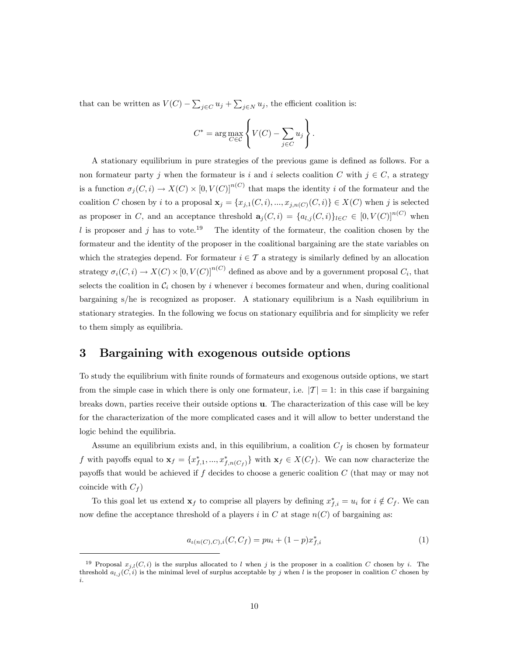that can be written as  $V(C) - \sum_{j \in C} u_j + \sum_{j \in N} u_j$ , the efficient coalition is:

$$
C^* = \arg \max_{C \in \mathcal{C}} \left\{ V(C) - \sum_{j \in C} u_j \right\}.
$$

A stationary equilibrium in pure strategies of the previous game is defined as follows. For a non formateur party *j* when the formateur is *i* and *i* selects coalition  $C$  with  $j \in C$ , a strategy is a function  $\sigma_i(C, i) \to X(C) \times [0, V(C)]^{n(C)}$  that maps the identity i of the formateur and the coalition C chosen by *i* to a proposal  $\mathbf{x}_j = \{x_{j,1}(C, i), ..., x_{j,n(C)}(C, i)\} \in X(C)$  when j is selected as proposer in C, and an acceptance threshold  $\mathbf{a}_j(C, i) = \{a_{l,j}(C, i)\}_{l \in C} \in [0, V(C)]^{n(C)}$  when l is proposer and j has to vote.<sup>19</sup> The identity of the formateur, the coalition chosen by the formateur and the identity of the proposer in the coalitional bargaining are the state variables on which the strategies depend. For formateur  $i \in \mathcal{T}$  a strategy is similarly defined by an allocation strategy  $\sigma_i(C, i) \to X(C) \times [0, V(C)]^{n(C)}$  defined as above and by a government proposal  $C_i$ , that selects the coalition in  $\mathcal{C}_i$  chosen by *i* whenever *i* becomes formateur and when, during coalitional bargaining s/he is recognized as proposer. A stationary equilibrium is a Nash equilibrium in stationary strategies. In the following we focus on stationary equilibria and for simplicity we refer to them simply as equilibria.

# 3 Bargaining with exogenous outside options

To study the equilibrium with finite rounds of formateurs and exogenous outside options, we start from the simple case in which there is only one formateur, i.e.  $|T| = 1$ : in this case if bargaining breaks down, parties receive their outside options u. The characterization of this case will be key for the characterization of the more complicated cases and it will allow to better understand the logic behind the equilibria.

Assume an equilibrium exists and, in this equilibrium, a coalition  $C_f$  is chosen by formateur f with payoffs equal to  $\mathbf{x}_f = \{x_{f,1}^*,...,x_{f,n(C_f)}^*\}$  with  $\mathbf{x}_f \in X(C_f)$ . We can now characterize the payoffs that would be achieved if  $f$  decides to choose a generic coalition  $C$  (that may or may not coincide with  $C_f$ )

To this goal let us extend  $\mathbf{x}_f$  to comprise all players by defining  $x_{f,i}^* = u_i$  for  $i \notin C_f$ . We can now define the acceptance threshold of a players i in  $C$  at stage  $n(C)$  of bargaining as:

$$
a_{\iota(n(C),C),i}(C,C_f) = pu_i + (1-p)x_{f,i}^* \tag{1}
$$

<sup>&</sup>lt;sup>19</sup> Proposal  $x_{j,l}(C, i)$  is the surplus allocated to *l* when *j* is the proposer in a coalition *C* chosen by *i*. The threshold  $a_{l,j}(C, i)$  is the minimal level of surplus acceptable by j when l is the proposer in coalition C chosen by .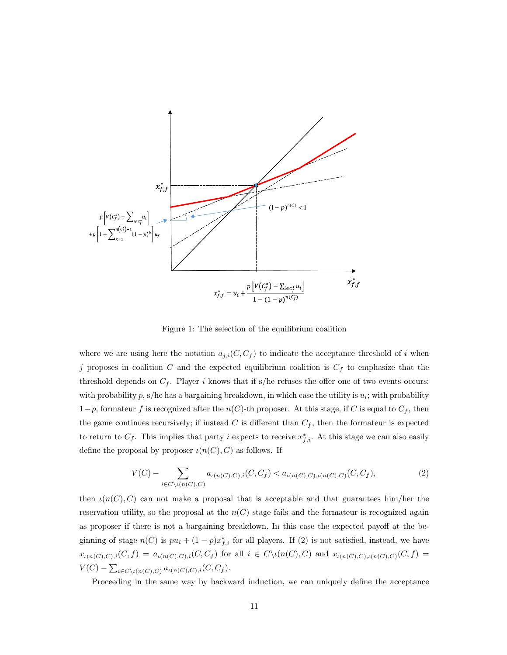

Figure 1: The selection of the equilibrium coalition

where we are using here the notation  $a_{j,i}(C, C_f)$  to indicate the acceptance threshold of i when j proposes in coalition  $C$  and the expected equilibrium coalition is  $C_f$  to emphasize that the threshold depends on  $C_f$ . Player *i* knows that if s/he refuses the offer one of two events occurs: with probability  $p$ , s/he has a bargaining breakdown, in which case the utility is  $u_i$ ; with probability  $1-p$ , formateur f is recognized after the  $n(C)$ -th proposer. At this stage, if C is equal to  $C_f$ , then the game continues recursively; if instead C is different than  $C_f$ , then the formateur is expected to return to  $C_f$ . This implies that party *i* expects to receive  $x_{f,i}^*$ . At this stage we can also easily define the proposal by proposer  $\iota(n(C), C)$  as follows. If

$$
V(C) - \sum_{i \in C \setminus \iota(n(C), C)} a_{\iota(n(C), C), i}(C, C_f) < a_{\iota(n(C), C), \iota(n(C), C)}(C, C_f),\tag{2}
$$

then  $\iota(n(C), C)$  can not make a proposal that is acceptable and that guarantees him/her the reservation utility, so the proposal at the  $n(C)$  stage fails and the formateur is recognized again as proposer if there is not a bargaining breakdown. In this case the expected payoff at the beginning of stage  $n(C)$  is  $pu_i + (1 - p)x_{f,i}^*$  for all players. If (2) is not satisfied, instead, we have  $x_{\iota(n(C),C),i}(C,f) = a_{\iota(n(C),C),i}(C,C_f)$  for all  $i \in C \setminus \iota(n(C),C)$  and  $x_{\iota(n(C),C),\iota(n(C),C)}(C,f) =$  $V(C) - \sum_{i \in C \setminus \iota(n(C), C)} a_{\iota(n(C), C), i}(C, C_f).$ 

Proceeding in the same way by backward induction, we can uniquely define the acceptance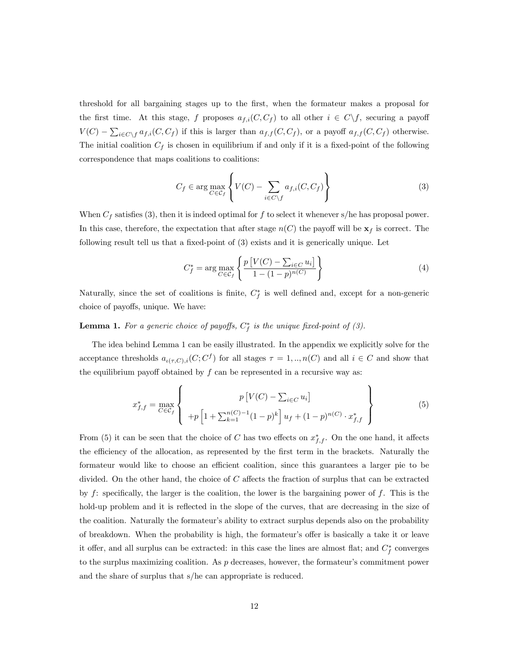threshold for all bargaining stages up to the first, when the formateur makes a proposal for the first time. At this stage, f proposes  $a_{f,i}(C, C_f)$  to all other  $i \in C \backslash f$ , securing a payoff  $V(C) - \sum_{i \in C \setminus f} a_{f,i}(C, C_f)$  if this is larger than  $a_{f,f}(C, C_f)$ , or a payoff  $a_{f,f}(C, C_f)$  otherwise. The initial coalition  $C_f$  is chosen in equilibrium if and only if it is a fixed-point of the following correspondence that maps coalitions to coalitions:

$$
C_f \in \arg\max_{C \in \mathcal{C}_f} \left\{ V(C) - \sum_{i \in C \setminus f} a_{f,i}(C, C_f) \right\} \tag{3}
$$

When  $C_f$  satisfies (3), then it is indeed optimal for f to select it whenever s/he has proposal power. In this case, therefore, the expectation that after stage  $n(C)$  the payoff will be  $\mathbf{x}_f$  is correct. The following result tell us that a fixed-point of (3) exists and it is generically unique. Let

$$
C_f^* = \arg \max_{C \in \mathcal{C}_f} \left\{ \frac{p \left[ V(C) - \sum_{i \in C} u_i \right]}{1 - (1 - p)^{n(C)}} \right\} \tag{4}
$$

Naturally, since the set of coalitions is finite,  $C_f^*$  is well defined and, except for a non-generic choice of payoffs, unique. We have:

#### **Lemma 1.** For a generic choice of payoffs,  $C_f^*$  is the unique fixed-point of (3).

The idea behind Lemma 1 can be easily illustrated. In the appendix we explicitly solve for the acceptance thresholds  $a_{\iota(\tau, C), i}(C; C^f)$  for all stages  $\tau = 1, ..., n(C)$  and all  $i \in C$  and show that the equilibrium payoff obtained by  $f$  can be represented in a recursive way as:

$$
x_{f,f}^{*} = \max_{C \in \mathcal{C}_{f}} \left\{ p\left[ V(C) - \sum_{i \in C} u_{i} \right] + p\left[ 1 + \sum_{k=1}^{n(C)-1} (1-p)^{k} \right] u_{f} + (1-p)^{n(C)} \cdot x_{f,f}^{*} \right\}
$$
(5)

From (5) it can be seen that the choice of C has two effects on  $x_{f,f}^*$ . On the one hand, it affects the efficiency of the allocation, as represented by the first term in the brackets. Naturally the formateur would like to choose an efficient coalition, since this guarantees a larger pie to be divided. On the other hand, the choice of  $C$  affects the fraction of surplus that can be extracted by  $f$ : specifically, the larger is the coalition, the lower is the bargaining power of  $f$ . This is the hold-up problem and it is reflected in the slope of the curves, that are decreasing in the size of the coalition. Naturally the formateur's ability to extract surplus depends also on the probability of breakdown. When the probability is high, the formateur's offer is basically a take it or leave it offer, and all surplus can be extracted: in this case the lines are almost flat; and  $C_f^*$  converges to the surplus maximizing coalition. As  $p$  decreases, however, the formateur's commitment power and the share of surplus that s/he can appropriate is reduced.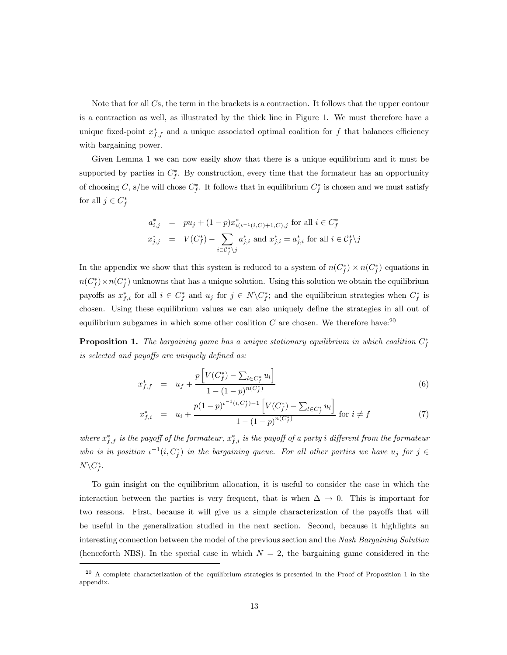Note that for all  $Cs$ , the term in the brackets is a contraction. It follows that the upper contour is a contraction as well, as illustrated by the thick line in Figure 1. We must therefore have a unique fixed-point  $x_{f,f}^*$  and a unique associated optimal coalition for f that balances efficiency with bargaining power.

Given Lemma 1 we can now easily show that there is a unique equilibrium and it must be supported by parties in  $C_f^*$ . By construction, every time that the formateur has an opportunity of choosing C, s/he will chose  $C_f^*$ . It follows that in equilibrium  $C_f^*$  is chosen and we must satisfy for all  $j \in C_f^*$ 

$$
a_{i,j}^* = pu_j + (1-p)x_{\iota(\iota^{-1}(i,C)+1,C),j}^* \text{ for all } i \in C_f^*
$$
  

$$
x_{j,j}^* = V(C_f^*) - \sum_{i \in C_f^* \setminus j} a_{j,i}^* \text{ and } x_{j,i}^* = a_{j,i}^* \text{ for all } i \in C_f^* \setminus j
$$

In the appendix we show that this system is reduced to a system of  $n(C_f^*) \times n(C_f^*)$  equations in  $n(C_f^*) \times n(C_f^*)$  unknowns that has a unique solution. Using this solution we obtain the equilibrium payoffs as  $x_{f,i}^*$  for all  $i \in C_f^*$  and  $u_j$  for  $j \in N \setminus C_f^*$ ; and the equilibrium strategies when  $C_f^*$  is chosen. Using these equilibrium values we can also uniquely define the strategies in all out of equilibrium subgames in which some other coalition  $C$  are chosen. We therefore have:<sup>20</sup>

**Proposition 1.** The bargaining game has a unique stationary equilibrium in which coalition  $C_f^*$ is selected and payoffs are uniquely defined as:

$$
x_{f,f}^* = u_f + \frac{p\left[V(C_f^*) - \sum_{l \in C_f^*} u_l\right]}{1 - (1 - p)^{n(C_f^*)}}
$$
\n
$$
(6)
$$

$$
x_{f,i}^* = u_i + \frac{p(1-p)^{i-1}(i, C_f^*) - 1\left[V(C_f^*) - \sum_{l \in C_f^*} u_l\right]}{1 - (1-p)^{n(C_f^*)}} \text{ for } i \neq f
$$
 (7)

where  $x_{f,f}^*$  is the payoff of the formateur,  $x_{f,i}^*$  is the payoff of a party i different from the formateur who is in position  $\iota^{-1}(i, C_f^*)$  in the bargaining queue. For all other parties we have  $u_j$  for  $j \in$  $N\backslash C_f^*$ .

To gain insight on the equilibrium allocation, it is useful to consider the case in which the interaction between the parties is very frequent, that is when  $\Delta \to 0$ . This is important for two reasons. First, because it will give us a simple characterization of the payoffs that will be useful in the generalization studied in the next section. Second, because it highlights an interesting connection between the model of the previous section and the Nash Bargaining Solution (henceforth NBS). In the special case in which  $N = 2$ , the bargaining game considered in the

 $^{20}$  A complete characterization of the equilibrium strategies is presented in the Proof of Proposition 1 in the appendix.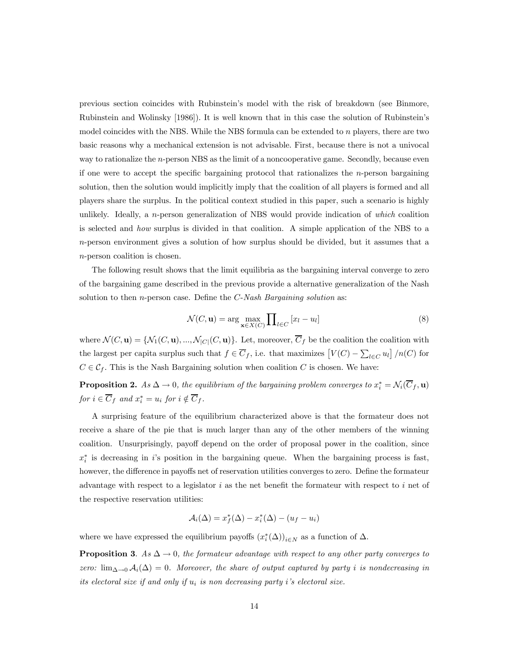previous section coincides with Rubinstein's model with the risk of breakdown (see Binmore, Rubinstein and Wolinsky [1986]). It is well known that in this case the solution of Rubinstein's model coincides with the NBS. While the NBS formula can be extended to  $n$  players, there are two basic reasons why a mechanical extension is not advisable. First, because there is not a univocal way to rationalize the  $n$ -person NBS as the limit of a noncooperative game. Secondly, because even if one were to accept the specific bargaining protocol that rationalizes the  $n$ -person bargaining solution, then the solution would implicitly imply that the coalition of all players is formed and all players share the surplus. In the political context studied in this paper, such a scenario is highly unlikely. Ideally, a  $n$ -person generalization of NBS would provide indication of which coalition is selected and how surplus is divided in that coalition. A simple application of the NBS to a -person environment gives a solution of how surplus should be divided, but it assumes that a -person coalition is chosen.

The following result shows that the limit equilibria as the bargaining interval converge to zero of the bargaining game described in the previous provide a alternative generalization of the Nash solution to then  $n$ -person case. Define the  $C$ -Nash Bargaining solution as:

$$
\mathcal{N}(C, \mathbf{u}) = \arg \max_{\mathbf{x} \in X(C)} \prod_{l \in C} [x_l - u_l]
$$
\n(8)

where  $\mathcal{N}(C, \mathbf{u}) = \{ \mathcal{N}_1(C, \mathbf{u}), ..., \mathcal{N}_{|C|}(C, \mathbf{u}) \}.$  Let, moreover,  $\overline{C}_f$  be the coalition the coalition with the largest per capita surplus such that  $f \in \overline{C}_f$ , i.e. that maximizes  $[V(C) - \sum_{l \in C} u_l] / n(C)$  for  $C \in \mathcal{C}_f$ . This is the Nash Bargaining solution when coalition C is chosen. We have:

**Proposition 2.** As  $\Delta \to 0$ , the equilibrium of the bargaining problem converges to  $x_i^* = \mathcal{N}_i(\overline{C}_f, \mathbf{u})$ for  $i \in C_f$  and  $x_i^* = u_i$  for  $i \notin C_f$ .

A surprising feature of the equilibrium characterized above is that the formateur does not receive a share of the pie that is much larger than any of the other members of the winning coalition. Unsurprisingly, payoff depend on the order of proposal power in the coalition, since  $x_i^*$  is decreasing in its position in the bargaining queue. When the bargaining process is fast, however, the difference in payoffs net of reservation utilities converges to zero. Define the formateur advantage with respect to a legislator  $i$  as the net benefit the formateur with respect to  $i$  net of the respective reservation utilities:

$$
\mathcal{A}_i(\Delta) = x_f^*(\Delta) - x_i^*(\Delta) - (u_f - u_i)
$$

where we have expressed the equilibrium payoffs  $(x_i^*(\Delta))_{i \in N}$  as a function of  $\Delta$ .

**Proposition 3.** As  $\Delta \rightarrow 0$ , the formateur advantage with respect to any other party converges to zero:  $\lim_{\Delta\to 0} \mathcal{A}_i(\Delta)=0$ . Moreover, the share of output captured by party *i* is nondecreasing in its electoral size if and only if  $u_i$  is non decreasing party i's electoral size.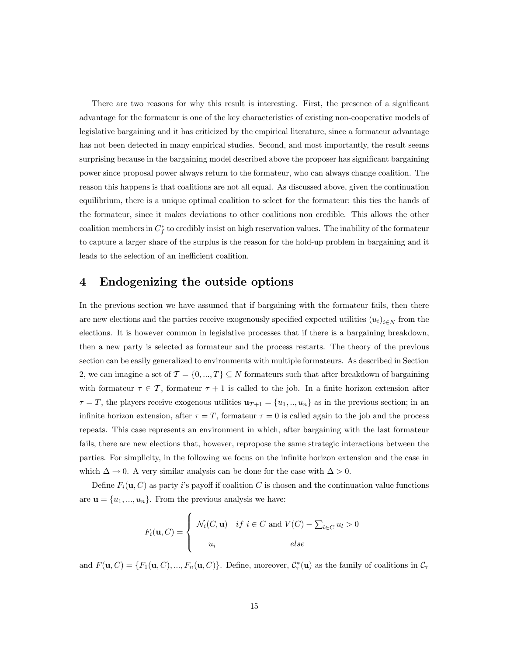There are two reasons for why this result is interesting. First, the presence of a significant advantage for the formateur is one of the key characteristics of existing non-cooperative models of legislative bargaining and it has criticized by the empirical literature, since a formateur advantage has not been detected in many empirical studies. Second, and most importantly, the result seems surprising because in the bargaining model described above the proposer has significant bargaining power since proposal power always return to the formateur, who can always change coalition. The reason this happens is that coalitions are not all equal. As discussed above, given the continuation equilibrium, there is a unique optimal coalition to select for the formateur: this ties the hands of the formateur, since it makes deviations to other coalitions non credible. This allows the other coalition members in  $C_f^*$  to credibly insist on high reservation values. The inability of the formateur to capture a larger share of the surplus is the reason for the hold-up problem in bargaining and it leads to the selection of an inefficient coalition.

# 4 Endogenizing the outside options

In the previous section we have assumed that if bargaining with the formateur fails, then there are new elections and the parties receive exogenously specified expected utilities  $(u_i)_{i\in N}$  from the elections. It is however common in legislative processes that if there is a bargaining breakdown, then a new party is selected as formateur and the process restarts. The theory of the previous section can be easily generalized to environments with multiple formateurs. As described in Section 2, we can imagine a set of  $\mathcal{T} = \{0, ..., T\} \subseteq N$  formateurs such that after breakdown of bargaining with formateur  $\tau \in \mathcal{T}$ , formateur  $\tau + 1$  is called to the job. In a finite horizon extension after  $\tau = T$ , the players receive exogenous utilities  $\mathbf{u}_{T+1} = \{u_1, ..., u_n\}$  as in the previous section; in an infinite horizon extension, after  $\tau = T$ , formateur  $\tau = 0$  is called again to the job and the process repeats. This case represents an environment in which, after bargaining with the last formateur fails, there are new elections that, however, repropose the same strategic interactions between the parties. For simplicity, in the following we focus on the infinite horizon extension and the case in which  $\Delta \to 0$ . A very similar analysis can be done for the case with  $\Delta > 0$ .

Define  $F_i(\mathbf{u}, C)$  as party i's payoff if coalition C is chosen and the continuation value functions are  $\mathbf{u} = \{u_1, ..., u_n\}$ . From the previous analysis we have:

$$
F_i(\mathbf{u}, C) = \begin{cases} \mathcal{N}_i(C, \mathbf{u}) & \text{if } i \in C \text{ and } V(C) - \sum_{l \in C} u_l > 0 \\ u_i & \text{else} \end{cases}
$$

and  $F(\mathbf{u}, C) = \{F_1(\mathbf{u}, C), ..., F_n(\mathbf{u}, C)\}\$ . Define, moreover,  $C^*_{\tau}(\mathbf{u})$  as the family of coalitions in  $C_{\tau}$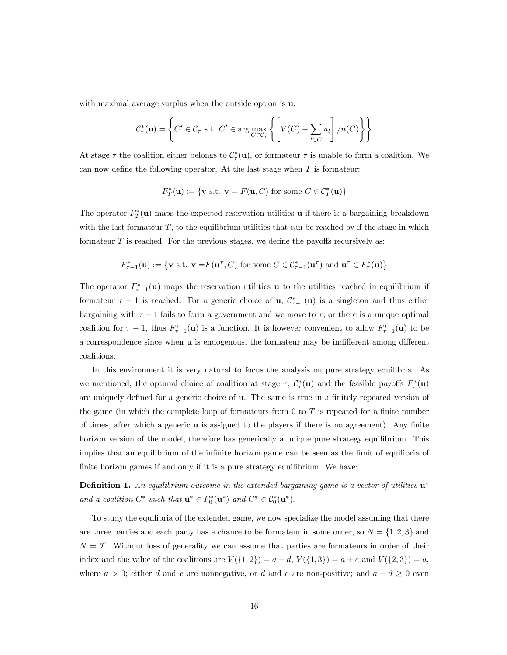with maximal average surplus when the outside option is  $\mathbf{u}$ .

$$
C_{\tau}^*(\mathbf{u}) = \left\{ C' \in C_{\tau} \text{ s.t. } C' \in \arg\max_{C \in C_{\tau}} \left\{ \left[ V(C) - \sum_{l \in C} u_l \right] / n(C) \right\} \right\}
$$

At stage  $\tau$  the coalition either belongs to  $\mathcal{C}^*_{\tau}(\mathbf{u})$ , or formateur  $\tau$  is unable to form a coalition. We can now define the following operator. At the last stage when  $T$  is formateur:

$$
F_T^*(\mathbf{u}) := \{ \mathbf{v} \text{ s.t. } \mathbf{v} = F(\mathbf{u}, C) \text{ for some } C \in C_T^*(\mathbf{u}) \}
$$

The operator  $F^*_{T}(\mathbf{u})$  maps the expected reservation utilities **u** if there is a bargaining breakdown with the last formateur  $T$ , to the equilibrium utilities that can be reached by if the stage in which formateur  $T$  is reached. For the previous stages, we define the payoffs recursively as:

$$
F_{\tau-1}^*(\mathbf{u}) := \left\{ \mathbf{v} \text{ s.t. } \mathbf{v} = F(\mathbf{u}^\tau, C) \text{ for some } C \in C_{\tau-1}^*(\mathbf{u}^\tau) \text{ and } \mathbf{u}^\tau \in F_\tau^*(\mathbf{u}) \right\}
$$

The operator  $F_{\tau-1}^*(u)$  maps the reservation utilities u to the utilities reached in equilibrium if formateur  $\tau - 1$  is reached. For a generic choice of **u**,  $C_{\tau-1}^*(u)$  is a singleton and thus either bargaining with  $\tau - 1$  fails to form a government and we move to  $\tau$ , or there is a unique optimal coalition for  $\tau - 1$ , thus  $F_{\tau-1}^*(\mathbf{u})$  is a function. It is however convenient to allow  $F_{\tau-1}^*(\mathbf{u})$  to be a correspondence since when u is endogenous, the formateur may be indifferent among different coalitions.

In this environment it is very natural to focus the analysis on pure strategy equilibria. As we mentioned, the optimal choice of coalition at stage  $\tau$ ,  $\mathcal{C}_{\tau}^{*}(\mathbf{u})$  and the feasible payoffs  $F_{\tau}^{*}(\mathbf{u})$ are uniquely defined for a generic choice of u. The same is true in a finitely repeated version of the game (in which the complete loop of formateurs from 0 to  $T$  is repeated for a finite number of times, after which a generic  $\bf{u}$  is assigned to the players if there is no agreement). Any finite horizon version of the model, therefore has generically a unique pure strategy equilibrium. This implies that an equilibrium of the infinite horizon game can be seen as the limit of equilibria of finite horizon games if and only if it is a pure strategy equilibrium. We have:

**Definition 1.** An equilibrium outcome in the extended bargaining game is a vector of utilities  $\mathbf{u}^*$ and a coalition  $C^*$  such that  $\mathbf{u}^* \in F_0^*(\mathbf{u}^*)$  and  $C^* \in C_0^*(\mathbf{u}^*)$ .

To study the equilibria of the extended game, we now specialize the model assuming that there are three parties and each party has a chance to be formateur in some order, so  $N = \{1, 2, 3\}$  and  $N = T$ . Without loss of generality we can assume that parties are formateurs in order of their index and the value of the coalitions are  $V({1, 2}) = a - d$ ,  $V({1, 3}) = a + e$  and  $V({2, 3}) = a$ , where  $a > 0$ ; either d and e are nonnegative, or d and e are non-positive; and  $a - d \geq 0$  even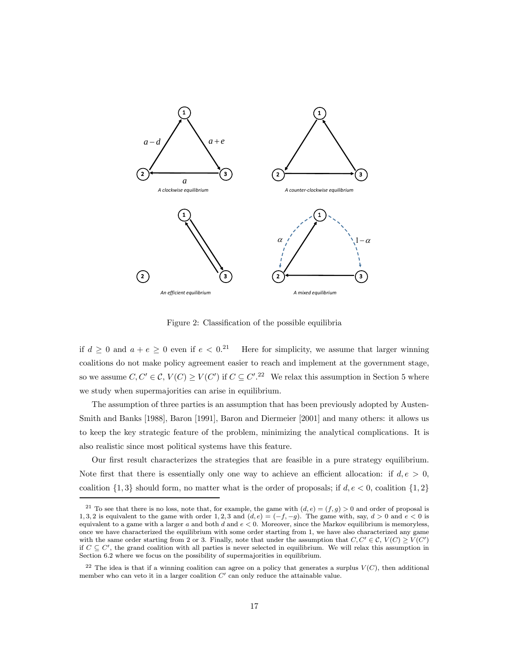

Figure 2: Classification of the possible equilibria

if  $d \geq 0$  and  $a + e \geq 0$  even if  $e < 0$ <sup>21</sup> Here for simplicity, we assume that larger winning coalitions do not make policy agreement easier to reach and implement at the government stage, so we assume  $C, C' \in \mathcal{C}, V(C) \geq V(C')$  if  $C \subseteq C'.^{22}$  We relax this assumption in Section 5 where we study when supermajorities can arise in equilibrium.

The assumption of three parties is an assumption that has been previously adopted by Austen-Smith and Banks [1988], Baron [1991], Baron and Diermeier [2001] and many others: it allows us to keep the key strategic feature of the problem, minimizing the analytical complications. It is also realistic since most political systems have this feature.

Our first result characterizes the strategies that are feasible in a pure strategy equilibrium. Note first that there is essentially only one way to achieve an efficient allocation: if  $d, e > 0$ , coalition  $\{1,3\}$  should form, no matter what is the order of proposals; if  $d, e < 0$ , coalition  $\{1,2\}$ 

<sup>&</sup>lt;sup>21</sup> To see that there is no loss, note that, for example, the game with  $(d, e) = (f, g) > 0$  and order of proposal is 1, 3, 2 is equivalent to the game with order 1, 2, 3 and  $(d, e) = (-f, -g)$ . The game with, say,  $d > 0$  and  $e < 0$  is equivalent to a game with a larger  $a$  and both  $d$  and  $e < 0$ . Moreover, since the Markov equilibrium is memoryless, once we have characterized the equilibrium with some order starting from 1, we have also characterized any game with the same order starting from 2 or 3. Finally, note that under the assumption that  $C, C' \in \mathcal{C}, V(C) \geq V(C')$ if  $C \subseteq C'$ , the grand coalition with all parties is never selected in equilibrium. We will relax this assumption in Section 6.2 where we focus on the possibility of supermajorities in equilibrium.

<sup>&</sup>lt;sup>22</sup> The idea is that if a winning coalition can agree on a policy that generates a surplus  $V(C)$ , then additional member who can veto it in a larger coalition  $C'$  can only reduce the attainable value.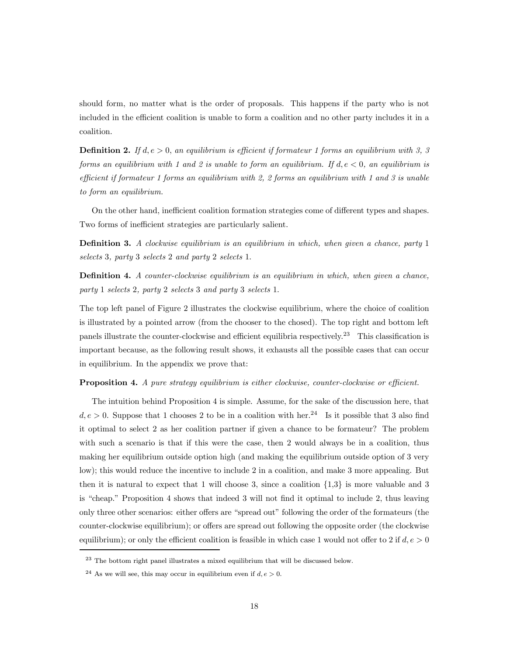should form, no matter what is the order of proposals. This happens if the party who is not included in the efficient coalition is unable to form a coalition and no other party includes it in a coalition.

**Definition 2.** If  $d, e > 0$ , an equilibrium is efficient if formateur 1 forms an equilibrium with 3, 3 forms an equilibrium with 1 and 2 is unable to form an equilibrium. If  $d, e < 0$ , an equilibrium is efficient if formateur 1 forms an equilibrium with 2, 2 forms an equilibrium with 1 and 3 is unable to form an equilibrium.

On the other hand, inefficient coalition formation strategies come of different types and shapes. Two forms of inefficient strategies are particularly salient.

**Definition 3.** A clockwise equilibrium is an equilibrium in which, when given a chance, party 1 selects 3, party 3 selects 2 and party 2 selects 1.

**Definition 4.** A counter-clockwise equilibrium is an equilibrium in which, when given a chance, party 1 selects 2, party 2 selects 3 and party 3 selects 1.

The top left panel of Figure 2 illustrates the clockwise equilibrium, where the choice of coalition is illustrated by a pointed arrow (from the chooser to the chosed). The top right and bottom left panels illustrate the counter-clockwise and efficient equilibria respectively.<sup>23</sup> This classification is important because, as the following result shows, it exhausts all the possible cases that can occur in equilibrium. In the appendix we prove that:

#### Proposition 4. A pure strategy equilibrium is either clockwise, counter-clockwise or efficient.

The intuition behind Proposition 4 is simple. Assume, for the sake of the discussion here, that  $d, e > 0$ . Suppose that 1 chooses 2 to be in a coalition with her.<sup>24</sup> Is it possible that 3 also find it optimal to select 2 as her coalition partner if given a chance to be formateur? The problem with such a scenario is that if this were the case, then 2 would always be in a coalition, thus making her equilibrium outside option high (and making the equilibrium outside option of 3 very low); this would reduce the incentive to include 2 in a coalition, and make 3 more appealing. But then it is natural to expect that 1 will choose 3, since a coalition  $\{1,3\}$  is more valuable and 3 is "cheap." Proposition 4 shows that indeed 3 will not find it optimal to include 2, thus leaving only three other scenarios: either offers are "spread out" following the order of the formateurs (the counter-clockwise equilibrium); or offers are spread out following the opposite order (the clockwise equilibrium); or only the efficient coalition is feasible in which case 1 would not offer to 2 if  $d, e > 0$ 

 $23$  The bottom right panel illustrates a mixed equilibrium that will be discussed below.

<sup>&</sup>lt;sup>24</sup> As we will see, this may occur in equilibrium even if  $d, e > 0$ .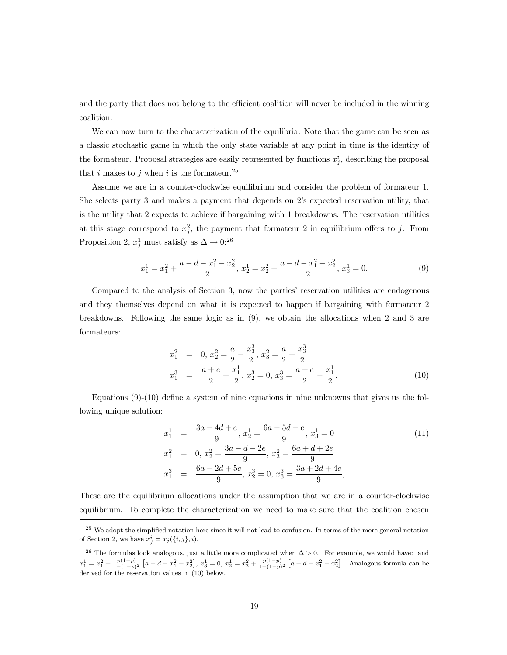and the party that does not belong to the efficient coalition will never be included in the winning coalition.

We can now turn to the characterization of the equilibria. Note that the game can be seen as a classic stochastic game in which the only state variable at any point in time is the identity of the formateur. Proposal strategies are easily represented by functions  $x_j^i$ , describing the proposal that *i* makes to *j* when *i* is the formateur.<sup>25</sup>

Assume we are in a counter-clockwise equilibrium and consider the problem of formateur 1. She selects party 3 and makes a payment that depends on 2's expected reservation utility, that is the utility that 2 expects to achieve if bargaining with 1 breakdowns. The reservation utilities at this stage correspond to  $x_j^2$ , the payment that formateur 2 in equilibrium offers to j. From Proposition 2,  $x_j^1$  must satisfy as  $\Delta \to 0:^{26}$ 

$$
x_1^1 = x_1^2 + \frac{a - d - x_1^2 - x_2^2}{2}, \ x_2^1 = x_2^2 + \frac{a - d - x_1^2 - x_2^2}{2}, \ x_3^1 = 0. \tag{9}
$$

Compared to the analysis of Section 3, now the parties' reservation utilities are endogenous and they themselves depend on what it is expected to happen if bargaining with formateur 2 breakdowns. Following the same logic as in (9), we obtain the allocations when 2 and 3 are formateurs:

$$
x_1^2 = 0, x_2^2 = \frac{a}{2} - \frac{x_3^3}{2}, x_3^2 = \frac{a}{2} + \frac{x_3^3}{2}
$$
  

$$
x_1^3 = \frac{a+e}{2} + \frac{x_1^1}{2}, x_2^3 = 0, x_3^3 = \frac{a+e}{2} - \frac{x_1^1}{2},
$$
 (10)

Equations  $(9)-(10)$  define a system of nine equations in nine unknowns that gives us the following unique solution:

$$
x_1^1 = \frac{3a - 4d + e}{9}, x_2^1 = \frac{6a - 5d - e}{9}, x_3^1 = 0
$$
  
\n
$$
x_1^2 = 0, x_2^2 = \frac{3a - d - 2e}{9}, x_3^2 = \frac{6a + d + 2e}{9}
$$
  
\n
$$
x_1^3 = \frac{6a - 2d + 5e}{9}, x_2^3 = 0, x_3^3 = \frac{3a + 2d + 4e}{9},
$$
\n(11)

These are the equilibrium allocations under the assumption that we are in a counter-clockwise equilibrium. To complete the characterization we need to make sure that the coalition chosen

<sup>&</sup>lt;sup>25</sup> We adopt the simplified notation here since it will not lead to confusion. In terms of the more general notation of Section 2, we have  $x_j^i = x_j(\{i, j\}, i)$ .

<sup>&</sup>lt;sup>26</sup> The formulas look analogous, just a little more complicated when  $\Delta > 0$ . For example, we would have: and  $x_1^1 = x_1^2 + \frac{p(1-p)}{1-(1-p)^2} [a-d-x_1^2-x_2^2], x_3^1 = 0, x_2^1 = x_2^2 + \frac{p(1-p)}{1-(1-p)^2} [a-d-x_1^2-x_2^2].$  Analogous formula can be derived for the reservation values in (10) below.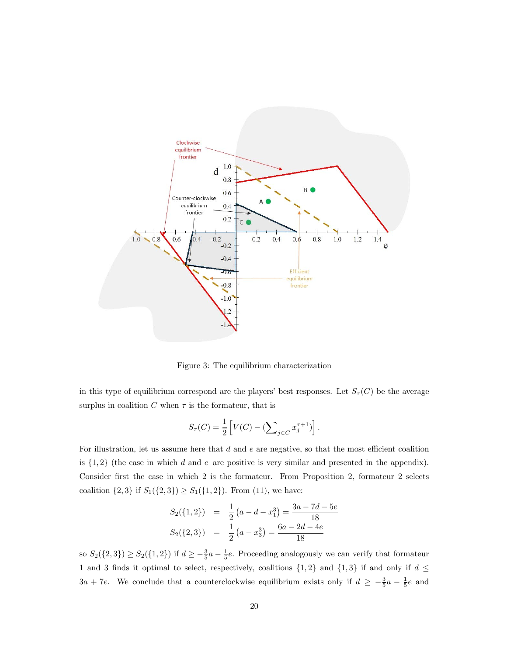

Figure 3: The equilibrium characterization

in this type of equilibrium correspond are the players' best responses. Let  $S_{\tau}(C)$  be the average surplus in coalition  $C$  when  $\tau$  is the formateur, that is

$$
S_{\tau}(C) = \frac{1}{2} \left[ V(C) - \left( \sum_{j \in C} x_j^{\tau + 1} \right) \right].
$$

For illustration, let us assume here that  $d$  and  $e$  are negative, so that the most efficient coalition is  $\{1,2\}$  (the case in which d and e are positive is very similar and presented in the appendix). Consider first the case in which 2 is the formateur. From Proposition 2, formateur 2 selects coalition  $\{2,3\}$  if  $S_1(\{2,3\}) \ge S_1(\{1,2\})$ . From  $(11)$ , we have:

$$
S_2({1, 2}) = \frac{1}{2} (a - d - x_1^3) = \frac{3a - 7d - 5e}{18}
$$
  

$$
S_2({2, 3}) = \frac{1}{2} (a - x_3^3) = \frac{6a - 2d - 4e}{18}
$$

so  $S_2({2, 3}) \ge S_2({1, 2})$  if  $d \ge -\frac{3}{5}a - \frac{1}{5}e$ . Proceeding analogously we can verify that formateur 1 and 3 finds it optimal to select, respectively, coalitions  $\{1,2\}$  and  $\{1,3\}$  if and only if  $d \leq$  $3a + 7e$ . We conclude that a counterclockwise equilibrium exists only if  $d \geq -\frac{3}{5}a - \frac{1}{5}e$  and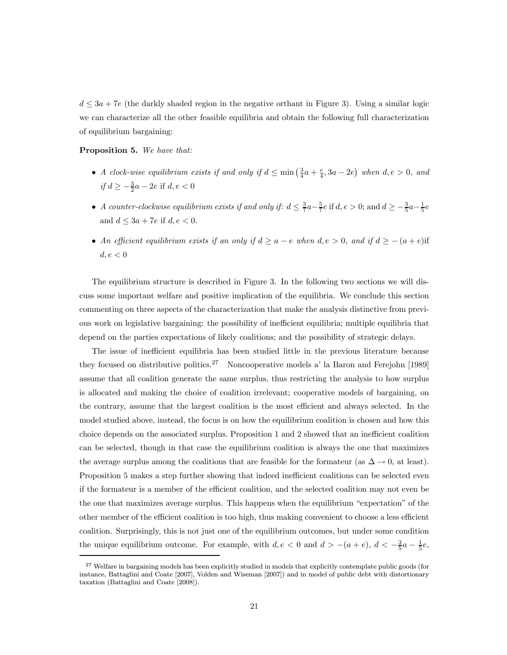$d \leq 3a + 7e$  (the darkly shaded region in the negative orthant in Figure 3). Using a similar logic we can characterize all the other feasible equilibria and obtain the following full characterization of equilibrium bargaining:

Proposition 5. We have that:

- A clock-wise equilibrium exists if and only if  $d \leq \min(\frac{3}{4}a + \frac{e}{4}, 3a 2e)$  when  $d, e > 0$ , and *if*  $d \ge -\frac{3}{2}a - 2e$  if  $d, e < 0$
- A counter-clockwise equilibrium exists if and only if:  $d \leq \frac{3}{7}a \frac{5}{7}e$  if  $d, e > 0$ ; and  $d \geq -\frac{3}{5}a \frac{1}{5}e$ and  $d \leq 3a + 7e$  if  $d, e \leq 0$ .
- An efficient equilibrium exists if an only if  $d \ge a e$  when  $d, e > 0$ , and if  $d \ge -(a + e)$  if  $d, e < 0$

The equilibrium structure is described in Figure 3. In the following two sections we will discuss some important welfare and positive implication of the equilibria. We conclude this section commenting on three aspects of the characterization that make the analysis distinctive from previous work on legislative bargaining: the possibility of inefficient equilibria; multiple equilibria that depend on the parties expectations of likely coalitions; and the possibility of strategic delays.

The issue of inefficient equilibria has been studied little in the previous literature because they focused on distributive politics.<sup>27</sup> Noncooperative models a' la Baron and Ferejohn [1989] assume that all coalition generate the same surplus, thus restricting the analysis to how surplus is allocated and making the choice of coalition irrelevant; cooperative models of bargaining, on the contrary, assume that the largest coalition is the most efficient and always selected. In the model studied above, instead, the focus is on how the equilibrium coalition is chosen and how this choice depends on the associated surplus. Proposition 1 and 2 showed that an inefficient coalition can be selected, though in that case the equilibrium coalition is always the one that maximizes the average surplus among the coalitions that are feasible for the formateur (as  $\Delta \to 0$ , at least). Proposition 5 makes a step further showing that indeed inefficient coalitions can be selected even if the formateur is a member of the efficient coalition, and the selected coalition may not even be the one that maximizes average surplus. This happens when the equilibrium "expectation" of the other member of the efficient coalition is too high, thus making convenient to choose a less efficient coalition. Surprisingly, this is not just one of the equilibrium outcomes, but under some condition the unique equilibrium outcome. For example, with  $d, e < 0$  and  $d > -(a + e), d < -\frac{3}{5}a - \frac{1}{5}e$ ,

<sup>&</sup>lt;sup>27</sup> Welfare in bargaining models has been explicitly studied in models that explicitly contemplate public goods (for instance, Battaglini and Coate [2007], Volden and Wiseman [2007]) and in model of public debt with distortionary taxation (Battaglini and Coate [2008]).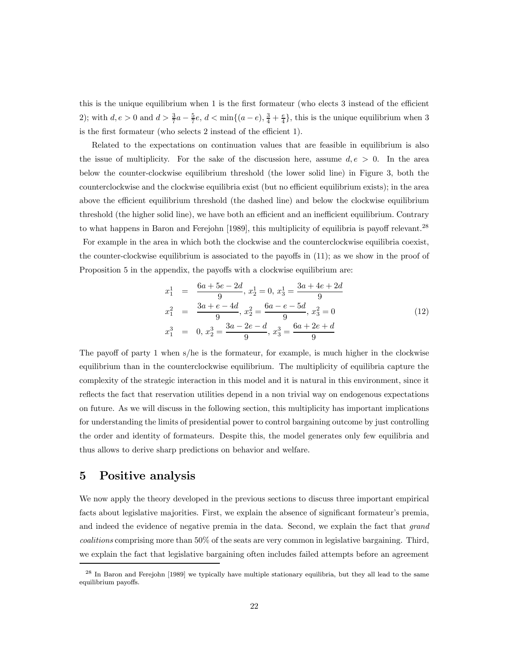this is the unique equilibrium when 1 is the first formateur (who elects 3 instead of the efficient 2); with  $d, e > 0$  and  $d > \frac{3}{7}a - \frac{5}{7}e$ ,  $d < \min\{(a-e), \frac{3}{4} + \frac{e}{4}\}\$ , this is the unique equilibrium when 3 is the first formateur (who selects 2 instead of the efficient 1).

Related to the expectations on continuation values that are feasible in equilibrium is also the issue of multiplicity. For the sake of the discussion here, assume  $d, e > 0$ . In the area below the counter-clockwise equilibrium threshold (the lower solid line) in Figure 3, both the counterclockwise and the clockwise equilibria exist (but no efficient equilibrium exists); in the area above the efficient equilibrium threshold (the dashed line) and below the clockwise equilibrium threshold (the higher solid line), we have both an efficient and an inefficient equilibrium. Contrary to what happens in Baron and Ferejohn [1989], this multiplicity of equilibria is payoff relevant.<sup>28</sup> For example in the area in which both the clockwise and the counterclockwise equilibria coexist, the counter-clockwise equilibrium is associated to the payoffs in (11); as we show in the proof of Proposition 5 in the appendix, the payoffs with a clockwise equilibrium are:

$$
x_1^1 = \frac{6a + 5e - 2d}{9}, x_2^1 = 0, x_3^1 = \frac{3a + 4e + 2d}{9}
$$
  
\n
$$
x_1^2 = \frac{3a + e - 4d}{9}, x_2^2 = \frac{6a - e - 5d}{9}, x_3^2 = 0
$$
  
\n
$$
x_1^3 = 0, x_2^3 = \frac{3a - 2e - d}{9}, x_3^3 = \frac{6a + 2e + d}{9}
$$
\n(12)

The payoff of party 1 when s/he is the formateur, for example, is much higher in the clockwise equilibrium than in the counterclockwise equilibrium. The multiplicity of equilibria capture the complexity of the strategic interaction in this model and it is natural in this environment, since it reflects the fact that reservation utilities depend in a non trivial way on endogenous expectations on future. As we will discuss in the following section, this multiplicity has important implications for understanding the limits of presidential power to control bargaining outcome by just controlling the order and identity of formateurs. Despite this, the model generates only few equilibria and thus allows to derive sharp predictions on behavior and welfare.

# 5 Positive analysis

We now apply the theory developed in the previous sections to discuss three important empirical facts about legislative majorities. First, we explain the absence of significant formateur's premia, and indeed the evidence of negative premia in the data. Second, we explain the fact that grand coalitions comprising more than 50% of the seats are very common in legislative bargaining. Third, we explain the fact that legislative bargaining often includes failed attempts before an agreement

<sup>&</sup>lt;sup>28</sup> In Baron and Ferejohn [1989] we typically have multiple stationary equilibria, but they all lead to the same equilibrium payoffs.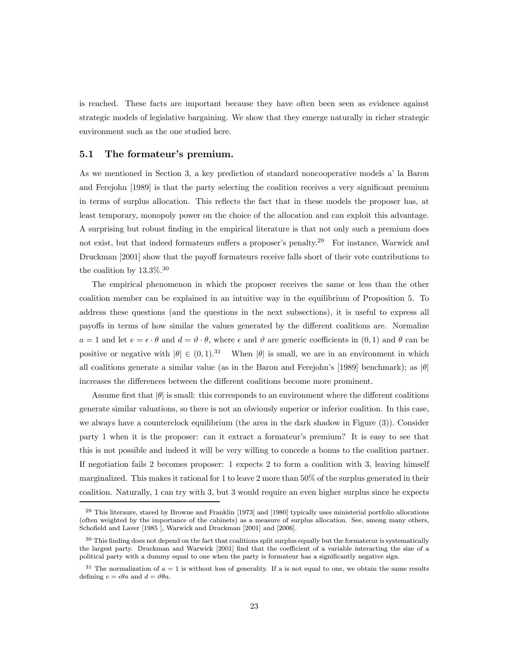is reached. These facts are important because they have often been seen as evidence against strategic models of legislative bargaining. We show that they emerge naturally in richer strategic environment such as the one studied here.

#### 5.1 The formateur's premium.

As we mentioned in Section 3, a key prediction of standard noncooperative models a' la Baron and Ferejohn [1989] is that the party selecting the coalition receives a very significant premium in terms of surplus allocation. This reflects the fact that in these models the proposer has, at least temporary, monopoly power on the choice of the allocation and can exploit this advantage. A surprising but robust finding in the empirical literature is that not only such a premium does not exist, but that indeed formateurs suffers a proposer's penalty.<sup>29</sup> For instance, Warwick and Druckman [2001] show that the payoff formateurs receive falls short of their vote contributions to the coalition by  $13.3\%$ <sup>30</sup>

The empirical phenomenon in which the proposer receives the same or less than the other coalition member can be explained in an intuitive way in the equilibrium of Proposition 5. To address these questions (and the questions in the next subsections), it is useful to express all payoffs in terms of how similar the values generated by the different coalitions are. Normalize  $a=1$  and let  $e=\epsilon \cdot \theta$  and  $d=\vartheta \cdot \theta$ , where  $\epsilon$  and  $\vartheta$  are generic coefficients in  $(0,1)$  and  $\theta$  can be positive or negative with  $|\theta| \in (0, 1).^{31}$  When  $|\theta|$  is small, we are in an environment in which all coalitions generate a similar value (as in the Baron and Ferejohn's [1989] benchmark); as  $|\theta|$ increases the differences between the different coalitions become more prominent.

Assume first that  $|\theta|$  is small: this corresponds to an environment where the different coalitions generate similar valuations, so there is not an obviously superior or inferior coalition. In this case, we always have a counterclock equilibrium (the area in the dark shadow in Figure (3)). Consider party 1 when it is the proposer: can it extract a formateur's premium? It is easy to see that this is not possible and indeed it will be very willing to concede a bonus to the coalition partner. If negotiation fails 2 becomes proposer: 1 expects 2 to form a coalition with 3, leaving himself marginalized. This makes it rational for 1 to leave 2 more than 50% of the surplus generated in their coalition. Naturally, 1 can try with 3, but 3 would require an even higher surplus since he expects

<sup>29</sup> This literaure, stared by Browne and Franklin [1973] and [1980] typically uses ministerial portfolio allocations (often weighted by the importance of the cabinets) as a measure of surplus allocation. See, among many others, Schofield and Laver [1985], Warwick and Druckman [2001] and [2006].

 $30$  This finding does not depend on the fact that coalitions split surplus equally but the formaterur is systematically the largest party. Druckman and Warwick [2001] find that the coefficient of a variable interacting the size of a political party with a dummy equal to one when the party is formateur has a significantly negative sign.

 $31$  The normalization of  $a=1$  is without loss of generality. If a is not equal to one, we obtain the same results defining  $e = \epsilon \theta a$  and  $d = \vartheta \theta a$ .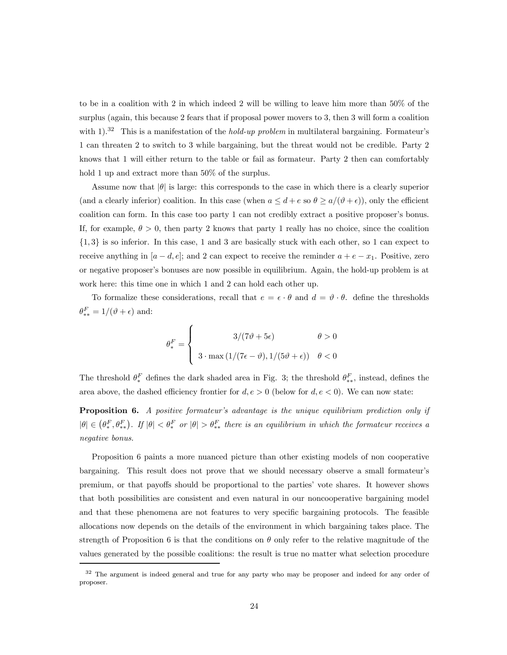to be in a coalition with 2 in which indeed 2 will be willing to leave him more than 50% of the surplus (again, this because 2 fears that if proposal power movers to 3, then 3 will form a coalition with  $1$ .<sup>32</sup> This is a manifestation of the *hold-up problem* in multilateral bargaining. Formateur's 1 can threaten 2 to switch to 3 while bargaining, but the threat would not be credible. Party 2 knows that 1 will either return to the table or fail as formateur. Party 2 then can comfortably hold 1 up and extract more than 50% of the surplus.

Assume now that  $|\theta|$  is large: this corresponds to the case in which there is a clearly superior (and a clearly inferior) coalition. In this case (when  $a \leq d + e$  so  $\theta \geq a/(\vartheta + \epsilon)$ ), only the efficient coalition can form. In this case too party 1 can not credibly extract a positive proposer's bonus. If, for example,  $\theta > 0$ , then party 2 knows that party 1 really has no choice, since the coalition  $\{1,3\}$  is so inferior. In this case, 1 and 3 are basically stuck with each other, so 1 can expect to receive anything in  $[a - d, e]$ ; and 2 can expect to receive the reminder  $a + e - x_1$ . Positive, zero or negative proposer's bonuses are now possible in equilibrium. Again, the hold-up problem is at work here: this time one in which 1 and 2 can hold each other up.

To formalize these considerations, recall that  $e = \epsilon \cdot \theta$  and  $d = \vartheta \cdot \theta$ . define the thresholds  $\theta_{**}^F = 1/(\vartheta + \epsilon)$  and:

$$
\theta_*^F = \begin{cases}\n3/(7\vartheta + 5\epsilon) & \theta > 0 \\
3 \cdot \max(1/(7\epsilon - \vartheta), 1/(5\vartheta + \epsilon)) & \theta < 0\n\end{cases}
$$

The threshold  $\theta_*^F$  defines the dark shaded area in Fig. 3; the threshold  $\theta_{**}^F$ , instead, defines the area above, the dashed efficiency frontier for  $d, e > 0$  (below for  $d, e < 0$ ). We can now state:

**Proposition 6.** A positive formateur's advantage is the unique equilibrium prediction only if  $|\theta| \in (\theta_*^F, \theta_{**}^F)$ . If  $|\theta| < \theta_*^F$  or  $|\theta| > \theta_{**}^F$  there is an equilibrium in which the formateur receives a negative bonus.

Proposition 6 paints a more nuanced picture than other existing models of non cooperative bargaining. This result does not prove that we should necessary observe a small formateur's premium, or that payoffs should be proportional to the parties' vote shares. It however shows that both possibilities are consistent and even natural in our noncooperative bargaining model and that these phenomena are not features to very specific bargaining protocols. The feasible allocations now depends on the details of the environment in which bargaining takes place. The strength of Proposition 6 is that the conditions on  $\theta$  only refer to the relative magnitude of the values generated by the possible coalitions: the result is true no matter what selection procedure

<sup>&</sup>lt;sup>32</sup> The argument is indeed general and true for any party who may be proposer and indeed for any order of proposer.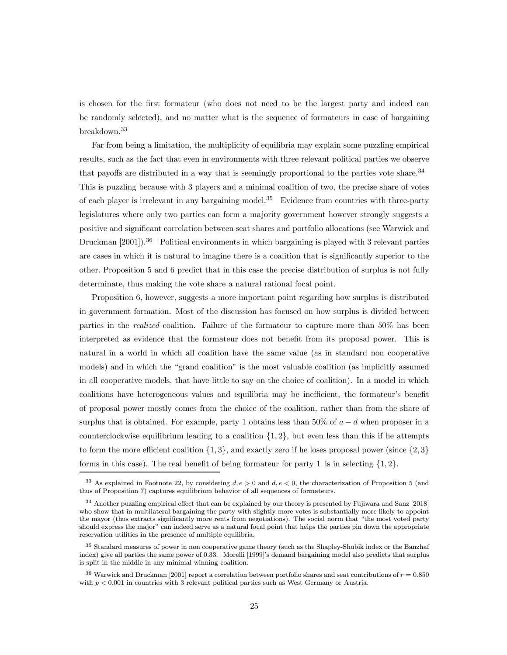is chosen for the first formateur (who does not need to be the largest party and indeed can be randomly selected), and no matter what is the sequence of formateurs in case of bargaining breakdown.<sup>33</sup>

Far from being a limitation, the multiplicity of equilibria may explain some puzzling empirical results, such as the fact that even in environments with three relevant political parties we observe that payoffs are distributed in a way that is seemingly proportional to the parties vote share.<sup>34</sup> This is puzzling because with 3 players and a minimal coalition of two, the precise share of votes of each player is irrelevant in any bargaining model.<sup>35</sup> Evidence from countries with three-party legislatures where only two parties can form a majority government however strongly suggests a positive and significant correlation between seat shares and portfolio allocations (see Warwick and Druckman [2001]).<sup>36</sup> Political environments in which bargaining is played with 3 relevant parties are cases in which it is natural to imagine there is a coalition that is significantly superior to the other. Proposition 5 and 6 predict that in this case the precise distribution of surplus is not fully determinate, thus making the vote share a natural rational focal point.

Proposition 6, however, suggests a more important point regarding how surplus is distributed in government formation. Most of the discussion has focused on how surplus is divided between parties in the realized coalition. Failure of the formateur to capture more than 50% has been interpreted as evidence that the formateur does not benefit from its proposal power. This is natural in a world in which all coalition have the same value (as in standard non cooperative models) and in which the "grand coalition" is the most valuable coalition (as implicitly assumed in all cooperative models, that have little to say on the choice of coalition). In a model in which coalitions have heterogeneous values and equilibria may be inefficient, the formateur's benefit of proposal power mostly comes from the choice of the coalition, rather than from the share of surplus that is obtained. For example, party 1 obtains less than 50% of  $a - d$  when proposer in a counterclockwise equilibrium leading to a coalition  $\{1, 2\}$ , but even less than this if he attempts to form the more efficient coalition  $\{1,3\}$ , and exactly zero if he loses proposal power (since  $\{2,3\}$ ) forms in this case). The real benefit of being formateur for party 1 is in selecting  $\{1, 2\}$ .

<sup>&</sup>lt;sup>33</sup> As explained in Footnote 22, by considering  $d, e > 0$  and  $d, e < 0$ , the characterization of Proposition 5 (and thus of Proposition 7) captures equilibrium behavior of all sequences of formateurs.

<sup>&</sup>lt;sup>34</sup> Another puzzling empirical effect that can be explained by our theory is presented by Fujiwara and Sanz [2018] who show that in multilateral bargaining the party with slightly more votes is substantially more likely to appoint the mayor (thus extracts significantly more rents from negotiations). The social norm that "the most voted party should express the major" can indeed serve as a natural focal point that helps the parties pin down the appropriate reservation utilities in the presence of multiple equilibria.

<sup>&</sup>lt;sup>35</sup> Standard measures of power in non cooperative game theory (such as the Shapley-Shubik index or the Banzhaf index) give all parties the same power of 0.33. Morelli [1999]'s demand bargaining model also predicts that surplus is split in the middle in any minimal winning coalition.

<sup>&</sup>lt;sup>36</sup> Warwick and Druckman [2001] report a correlation between portfolio shares and seat contributions of  $r = 0.850$ with  $p < 0.001$  in countries with 3 relevant political parties such as West Germany or Austria.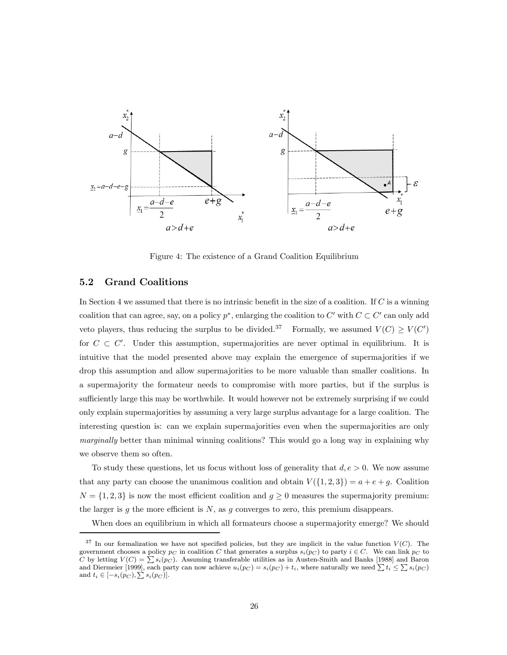

Figure 4: The existence of a Grand Coalition Equilibrium

#### 5.2 Grand Coalitions

In Section 4 we assumed that there is no intrinsic benefit in the size of a coalition. If  $C$  is a winning coalition that can agree, say, on a policy  $p^*$ , enlarging the coalition to  $C'$  with  $C \subset C'$  can only add veto players, thus reducing the surplus to be divided.<sup>37</sup> Formally, we assumed  $V(C) \ge V(C')$ for  $C \subset C'$ . Under this assumption, supermajorities are never optimal in equilibrium. It is intuitive that the model presented above may explain the emergence of supermajorities if we drop this assumption and allow supermajorities to be more valuable than smaller coalitions. In a supermajority the formateur needs to compromise with more parties, but if the surplus is sufficiently large this may be worthwhile. It would however not be extremely surprising if we could only explain supermajorities by assuming a very large surplus advantage for a large coalition. The interesting question is: can we explain supermajorities even when the supermajorities are only marginally better than minimal winning coalitions? This would go a long way in explaining why we observe them so often.

To study these questions, let us focus without loss of generality that  $d, e > 0$ . We now assume that any party can choose the unanimous coalition and obtain  $V({1, 2, 3}) = a + e + g$ . Coalition  $N = \{1, 2, 3\}$  is now the most efficient coalition and  $g \ge 0$  measures the supermajority premium: the larger is  $g$  the more efficient is  $N$ , as  $g$  converges to zero, this premium disappears.

When does an equilibrium in which all formateurs choose a supermajority emerge? We should

 $37$  In our formalization we have not specified policies, but they are implicit in the value function  $V(C)$ . The government chooses a policy  $p_C$  in coalition C that generates a surplus  $s_i(p_C)$  to party  $i \in C$ . We can link  $p_C$  to C by letting  $V(C) = \sum s_i(p_C)$ . Assuming transferable utilities as in Austen-Smith and Banks [1988] and Baron and Diermeier [1999], each party can now achieve  $u_i(p_C) = s_i(p_C) + t_i$ , where naturally we need  $\sum t_i \leq \sum s_i(p_C)$ and  $t_i \in [-s_i(p_C), \sum s_i(p_C)].$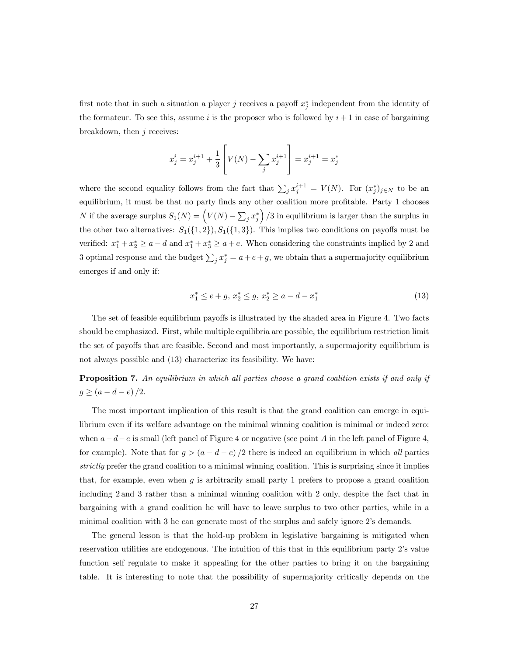first note that in such a situation a player *j* receives a payoff  $x_j^*$  independent from the identity of the formateur. To see this, assume *i* is the proposer who is followed by  $i+1$  in case of bargaining breakdown, then  $j$  receives:

$$
x_j^i = x_j^{i+1} + \frac{1}{3} \left[ V(N) - \sum_j x_j^{i+1} \right] = x_j^{i+1} = x_j^*
$$

where the second equality follows from the fact that  $\sum_j x_j^{i+1} = V(N)$ . For  $(x_j^*)_{j \in N}$  to be an equilibrium, it must be that no party finds any other coalition more profitable. Party 1 chooses N if the average surplus  $S_1(N) = \left(V(N) - \sum_j x_j^*\right)/3$  in equilibrium is larger than the surplus in the other two alternatives:  $S_1({1, 2}), S_1({1, 3}).$  This implies two conditions on payoffs must be verified:  $x_1^* + x_2^* \ge a - d$  and  $x_1^* + x_3^* \ge a + e$ . When considering the constraints implied by 2 and 3 optimal response and the budget  $\sum_j x_j^* = a + e + g$ , we obtain that a supermajority equilibrium emerges if and only if:

$$
x_1^* \le e + g, \ x_2^* \le g, \ x_2^* \ge a - d - x_1^* \tag{13}
$$

The set of feasible equilibrium payoffs is illustrated by the shaded area in Figure 4. Two facts should be emphasized. First, while multiple equilibria are possible, the equilibrium restriction limit the set of payoffs that are feasible. Second and most importantly, a supermajority equilibrium is not always possible and (13) characterize its feasibility. We have:

Proposition 7. An equilibrium in which all parties choose a grand coalition exists if and only if  $g \ge (a - d - e)/2.$ 

The most important implication of this result is that the grand coalition can emerge in equilibrium even if its welfare advantage on the minimal winning coalition is minimal or indeed zero: when  $a-d-e$  is small (left panel of Figure 4 or negative (see point A in the left panel of Figure 4, for example). Note that for  $g > (a - d - e)/2$  there is indeed an equilibrium in which all parties strictly prefer the grand coalition to a minimal winning coalition. This is surprising since it implies that, for example, even when  $q$  is arbitrarily small party 1 prefers to propose a grand coalition including 2 and 3 rather than a minimal winning coalition with 2 only, despite the fact that in bargaining with a grand coalition he will have to leave surplus to two other parties, while in a minimal coalition with 3 he can generate most of the surplus and safely ignore 2's demands.

The general lesson is that the hold-up problem in legislative bargaining is mitigated when reservation utilities are endogenous. The intuition of this that in this equilibrium party 2's value function self regulate to make it appealing for the other parties to bring it on the bargaining table. It is interesting to note that the possibility of supermajority critically depends on the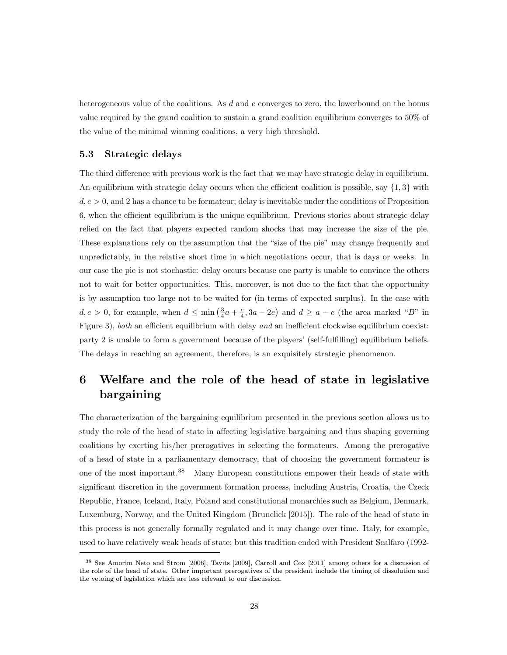heterogeneous value of the coalitions. As  $d$  and  $e$  converges to zero, the lowerbound on the bonus value required by the grand coalition to sustain a grand coalition equilibrium converges to 50% of the value of the minimal winning coalitions, a very high threshold.

#### 5.3 Strategic delays

The third difference with previous work is the fact that we may have strategic delay in equilibrium. An equilibrium with strategic delay occurs when the efficient coalition is possible, say  $\{1,3\}$  with  $d, e > 0$ , and 2 has a chance to be formateur; delay is inevitable under the conditions of Proposition 6, when the efficient equilibrium is the unique equilibrium. Previous stories about strategic delay relied on the fact that players expected random shocks that may increase the size of the pie. These explanations rely on the assumption that the "size of the pie" may change frequently and unpredictably, in the relative short time in which negotiations occur, that is days or weeks. In our case the pie is not stochastic: delay occurs because one party is unable to convince the others not to wait for better opportunities. This, moreover, is not due to the fact that the opportunity is by assumption too large not to be waited for (in terms of expected surplus). In the case with  $d, e > 0$ , for example, when  $d \le \min\left(\frac{3}{4}a + \frac{e}{4}, 3a - 2e\right)$  and  $d \ge a - e$  (the area marked "B" in Figure 3), both an efficient equilibrium with delay and an inefficient clockwise equilibrium coexist: party 2 is unable to form a government because of the players' (self-fulfilling) equilibrium beliefs. The delays in reaching an agreement, therefore, is an exquisitely strategic phenomenon.

# 6 Welfare and the role of the head of state in legislative bargaining

The characterization of the bargaining equilibrium presented in the previous section allows us to study the role of the head of state in affecting legislative bargaining and thus shaping governing coalitions by exerting his/her prerogatives in selecting the formateurs. Among the prerogative of a head of state in a parliamentary democracy, that of choosing the government formateur is one of the most important.<sup>38</sup> Many European constitutions empower their heads of state with significant discretion in the government formation process, including Austria, Croatia, the Czeck Republic, France, Iceland, Italy, Poland and constitutional monarchies such as Belgium, Denmark, Luxemburg, Norway, and the United Kingdom (Brunclick [2015]). The role of the head of state in this process is not generally formally regulated and it may change over time. Italy, for example, used to have relatively weak heads of state; but this tradition ended with President Scalfaro (1992-

<sup>38</sup> See Amorim Neto and Strom [2006], Tavits [2009], Carroll and Cox [2011] among others for a discussion of the role of the head of state. Other important prerogatives of the president include the timing of dissolution and the vetoing of legislation which are less relevant to our discussion.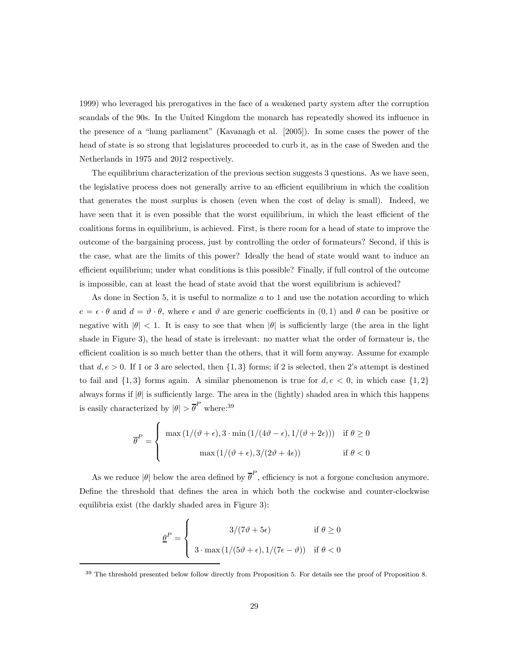1999) who leveraged his prerogatives in the face of a weakened party system after the corruption scandals of the 90s. In the United Kingdom the monarch has repeatedly showed its influence in the presence of a "hung parliament" (Kavanagh et al. [2005]). In some cases the power of the head of state is so strong that legislatures proceeded to curb it, as in the case of Sweden and the Netherlands in 1975 and 2012 respectively.

The equilibrium characterization of the previous section suggests 3 questions. As we have seen, the legislative process does not generally arrive to an efficient equilibrium in which the coalition that generates the most surplus is chosen (even when the cost of delay is small). Indeed, we have seen that it is even possible that the worst equilibrium, in which the least efficient of the coalitions forms in equilibrium, is achieved. First, is there room for a head of state to improve the outcome of the bargaining process, just by controlling the order of formateurs? Second, if this is the case, what are the limits of this power? Ideally the head of state would want to induce an efficient equilibrium; under what conditions is this possible? Finally, if full control of the outcome is impossible, can at least the head of state avoid that the worst equilibrium is achieved?

As done in Section 5, it is useful to normalize  $a$  to 1 and use the notation according to which  $e = \epsilon \cdot \theta$  and  $d = \vartheta \cdot \theta$ , where  $\epsilon$  and  $\vartheta$  are generic coefficients in  $(0,1)$  and  $\theta$  can be positive or negative with  $|\theta| < 1$ . It is easy to see that when  $|\theta|$  is sufficiently large (the area in the light shade in Figure 3), the head of state is irrelevant: no matter what the order of formateur is, the efficient coalition is so much better than the others, that it will form anyway. Assume for example that  $d, e > 0$ . If 1 or 3 are selected, then  $\{1,3\}$  forms; if 2 is selected, then 2's attempt is destined to fail and  $\{1,3\}$  forms again. A similar phenomenon is true for  $d, e < 0$ , in which case  $\{1,2\}$ always forms if  $|\theta|$  is sufficiently large. The area in the (lightly) shaded area in which this happens is easily characterized by  $|\theta| > \overline{\theta}^P$  where:<sup>39</sup>

$$
\overline{\theta}^{P} = \begin{cases} \max(1/(\vartheta + \epsilon), 3 \cdot \min(1/(4\vartheta - \epsilon), 1/(\vartheta + 2\epsilon))) & \text{if } \theta \ge 0 \\ \max(1/(\vartheta + \epsilon), 3/(2\vartheta + 4\epsilon)) & \text{if } \theta < 0 \end{cases}
$$

As we reduce  $|\theta|$  below the area defined by  $\overline{\theta}^P$ , efficiency is not a forgone conclusion anymore. Define the threshold that defines the area in which both the cockwise and counter-clockwise equilibria exist (the darkly shaded area in Figure 3):

$$
\underline{\theta}^{P} = \begin{cases}\n3/(7\vartheta + 5\epsilon) & \text{if } \theta \ge 0 \\
3 \cdot \max(1/(5\vartheta + \epsilon), 1/(7\epsilon - \vartheta)) & \text{if } \theta < 0\n\end{cases}
$$

<sup>39</sup> The threshold presented below follow directly from Proposition 5. For details see the proof of Proposition 8.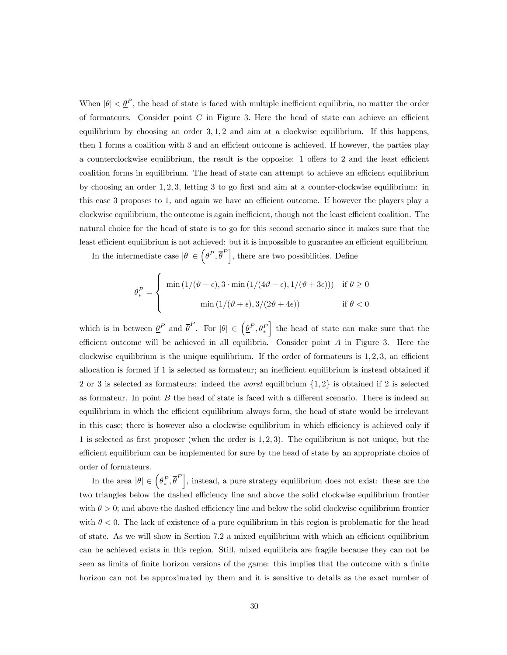When  $|\theta| < \underline{\theta}^P$ , the head of state is faced with multiple inefficient equilibria, no matter the order of formateurs. Consider point  $C$  in Figure 3. Here the head of state can achieve an efficient equilibrium by choosing an order  $3, 1, 2$  and aim at a clockwise equilibrium. If this happens, then 1 forms a coalition with 3 and an efficient outcome is achieved. If however, the parties play a counterclockwise equilibrium, the result is the opposite: 1 offers to 2 and the least efficient coalition forms in equilibrium. The head of state can attempt to achieve an efficient equilibrium by choosing an order  $1, 2, 3$ , letting 3 to go first and aim at a counter-clockwise equilibrium: in this case 3 proposes to 1, and again we have an efficient outcome. If however the players play a clockwise equilibrium, the outcome is again inefficient, though not the least efficient coalition. The natural choice for the head of state is to go for this second scenario since it makes sure that the least efficient equilibrium is not achieved: but it is impossible to guarantee an efficient equilibrium.

In the intermediate case  $|\theta| \in (\underline{\theta}^P, \overline{\theta}^P],$  there are two possibilities. Define

$$
\theta_*^P = \begin{cases} \min(1/(\vartheta + \epsilon), 3 \cdot \min(1/(4\vartheta - \epsilon), 1/(\vartheta + 3\epsilon))) & \text{if } \theta \ge 0 \\ \min(1/(\vartheta + \epsilon), 3/(2\vartheta + 4\epsilon)) & \text{if } \theta < 0 \end{cases}
$$

which is in between  $\underline{\theta}^P$  and  $\overline{\theta}^P$ . For  $|\theta| \in (\underline{\theta}^P, \theta_*^P)$ I the head of state can make sure that the efficient outcome will be achieved in all equilibria. Consider point  $A$  in Figure 3. Here the clockwise equilibrium is the unique equilibrium. If the order of formateurs is  $1, 2, 3$ , an efficient allocation is formed if 1 is selected as formateur; an inefficient equilibrium is instead obtained if 2 or 3 is selected as formateurs: indeed the *worst* equilibrium  $\{1, 2\}$  is obtained if 2 is selected as formateur. In point  $B$  the head of state is faced with a different scenario. There is indeed an equilibrium in which the efficient equilibrium always form, the head of state would be irrelevant in this case; there is however also a clockwise equilibrium in which efficiency is achieved only if 1 is selected as first proposer (when the order is  $1, 2, 3$ ). The equilibrium is not unique, but the efficient equilibrium can be implemented for sure by the head of state by an appropriate choice of order of formateurs.

In the area  $|\theta| \in (\theta_*^P, \overline{\theta}^P],$  instead, a pure strategy equilibrium does not exist: these are the two triangles below the dashed efficiency line and above the solid clockwise equilibrium frontier with  $\theta > 0$ ; and above the dashed efficiency line and below the solid clockwise equilibrium frontier with  $\theta < 0$ . The lack of existence of a pure equilibrium in this region is problematic for the head of state. As we will show in Section 7.2 a mixed equilibrium with which an efficient equilibrium can be achieved exists in this region. Still, mixed equilibria are fragile because they can not be seen as limits of finite horizon versions of the game: this implies that the outcome with a finite horizon can not be approximated by them and it is sensitive to details as the exact number of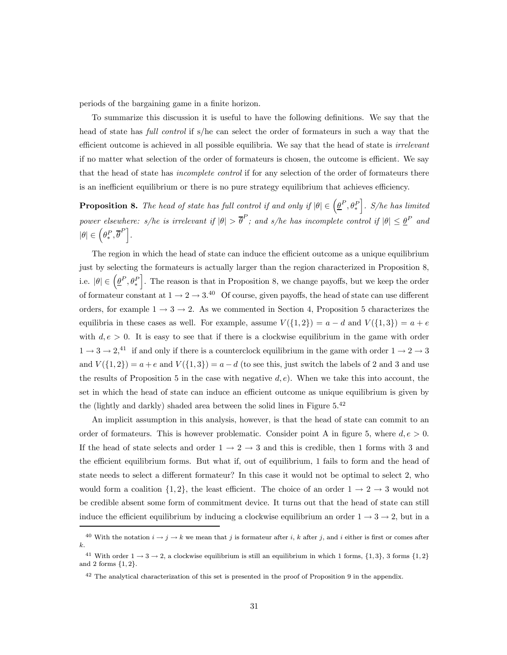periods of the bargaining game in a finite horizon.

To summarize this discussion it is useful to have the following definitions. We say that the head of state has *full control* if s/he can select the order of formateurs in such a way that the efficient outcome is achieved in all possible equilibria. We say that the head of state is *irrelevant* if no matter what selection of the order of formateurs is chosen, the outcome is efficient. We say that the head of state has *incomplete control* if for any selection of the order of formateurs there is an inefficient equilibrium or there is no pure strategy equilibrium that achieves efficiency.

**Proposition 8.** The head of state has full control if and only if  $|\theta| \in (\underline{\theta}^P, \theta_*^P)$  $\big]$ . S/he has limited power elsewhere: s/he is irrelevant if  $|\theta| > \overline{\theta}^P$ ; and s/he has incomplete control if  $|\theta| \leq \underline{\theta}^P$  and  $|\theta| \in \Big(\theta_*^P, \overline{\theta}^P\Big].$ 

The region in which the head of state can induce the efficient outcome as a unique equilibrium just by selecting the formateurs is actually larger than the region characterized in Proposition 8, i.e.  $|\theta| \in \left(\underline{\theta}^P, \theta_*^P\right)$ . The reason is that in Proposition 8, we change payoffs, but we keep the order of formateur constant at  $1 \rightarrow 2 \rightarrow 3^{40}$  Of course, given payoffs, the head of state can use different orders, for example  $1 \rightarrow 3 \rightarrow 2$ . As we commented in Section 4, Proposition 5 characterizes the equilibria in these cases as well. For example, assume  $V({1, 2}) = a - d$  and  $V({1, 3}) = a + e$ with  $d, e > 0$ . It is easy to see that if there is a clockwise equilibrium in the game with order  $1 \rightarrow 3 \rightarrow 2,41$  if and only if there is a counterclock equilibrium in the game with order  $1 \rightarrow 2 \rightarrow 3$ and  $V({1, 2}) = a + e$  and  $V({1, 3}) = a - d$  (to see this, just switch the labels of 2 and 3 and use the results of Proposition 5 in the case with negative  $d, e$ ). When we take this into account, the set in which the head of state can induce an efficient outcome as unique equilibrium is given by the (lightly and darkly) shaded area between the solid lines in Figure  $5^{42}$ 

An implicit assumption in this analysis, however, is that the head of state can commit to an order of formateurs. This is however problematic. Consider point A in figure 5, where  $d, e > 0$ . If the head of state selects and order  $1 \rightarrow 2 \rightarrow 3$  and this is credible, then 1 forms with 3 and the efficient equilibrium forms. But what if, out of equilibrium, 1 fails to form and the head of state needs to select a different formateur? In this case it would not be optimal to select 2, who would form a coalition  $\{1,2\}$ , the least efficient. The choice of an order  $1 \rightarrow 2 \rightarrow 3$  would not be credible absent some form of commitment device. It turns out that the head of state can still induce the efficient equilibrium by inducing a clockwise equilibrium an order  $1 \rightarrow 3 \rightarrow 2$ , but in a

<sup>&</sup>lt;sup>40</sup> With the notation  $i \to j \to k$  we mean that j is formateur after i, k after j, and i either is first or comes after  $\boldsymbol{k}$ .

<sup>&</sup>lt;sup>41</sup> With order  $1 \rightarrow 3 \rightarrow 2$ , a clockwise equilibrium is still an equilibrium in which 1 forms,  $\{1,3\}$ , 3 forms  $\{1,2\}$ and 2 forms  $\{1, 2\}.$ 

<sup>&</sup>lt;sup>42</sup> The analytical characterization of this set is presented in the proof of Proposition 9 in the appendix.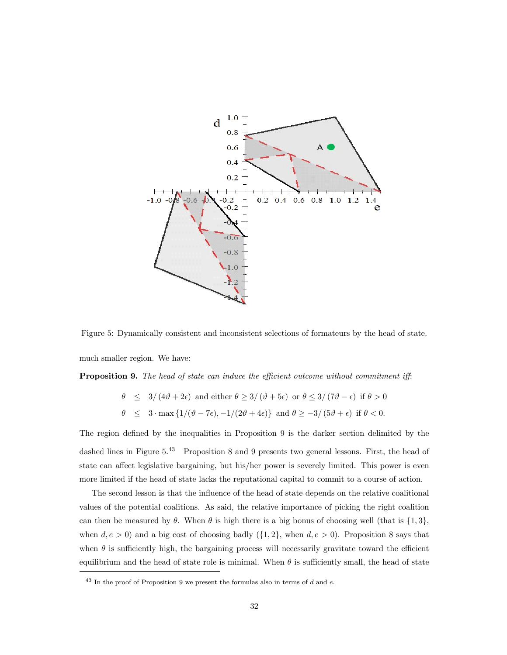

Figure 5: Dynamically consistent and inconsistent selections of formateurs by the head of state. much smaller region. We have:

**Proposition 9.** The head of state can induce the efficient outcome without commitment iff:

$$
\theta \le 3/(4\vartheta + 2\epsilon) \text{ and either } \theta \ge 3/(\vartheta + 5\epsilon) \text{ or } \theta \le 3/(7\vartheta - \epsilon) \text{ if } \theta > 0
$$
  

$$
\theta \le 3 \cdot \max\{1/(\vartheta - 7\epsilon), -1/(2\vartheta + 4\epsilon)\} \text{ and } \theta \ge -3/(5\vartheta + \epsilon) \text{ if } \theta < 0.
$$

The region defined by the inequalities in Proposition 9 is the darker section delimited by the dashed lines in Figure 5.<sup>43</sup> Proposition 8 and 9 presents two general lessons. First, the head of state can affect legislative bargaining, but his/her power is severely limited. This power is even more limited if the head of state lacks the reputational capital to commit to a course of action.

The second lesson is that the influence of the head of state depends on the relative coalitional values of the potential coalitions. As said, the relative importance of picking the right coalition can then be measured by  $\theta$ . When  $\theta$  is high there is a big bonus of choosing well (that is  $\{1,3\}$ , when  $d, e > 0$ ) and a big cost of choosing badly  $({1, 2}, \text{when } d, e > 0)$ . Proposition 8 says that when  $\theta$  is sufficiently high, the bargaining process will necessarily gravitate toward the efficient equilibrium and the head of state role is minimal. When  $\theta$  is sufficiently small, the head of state

 $43$  In the proof of Proposition 9 we present the formulas also in terms of  $d$  and  $e$ .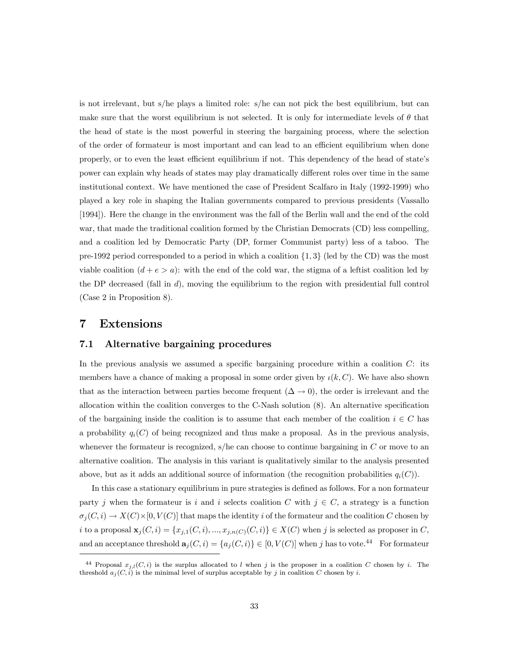is not irrelevant, but s/he plays a limited role: s/he can not pick the best equilibrium, but can make sure that the worst equilibrium is not selected. It is only for intermediate levels of  $\theta$  that the head of state is the most powerful in steering the bargaining process, where the selection of the order of formateur is most important and can lead to an efficient equilibrium when done properly, or to even the least efficient equilibrium if not. This dependency of the head of state's power can explain why heads of states may play dramatically different roles over time in the same institutional context. We have mentioned the case of President Scalfaro in Italy (1992-1999) who played a key role in shaping the Italian governments compared to previous presidents (Vassallo [1994]). Here the change in the environment was the fall of the Berlin wall and the end of the cold war, that made the traditional coalition formed by the Christian Democrats (CD) less compelling, and a coalition led by Democratic Party (DP, former Communist party) less of a taboo. The pre-1992 period corresponded to a period in which a coalition  $\{1,3\}$  (led by the CD) was the most viable coalition  $(d + e > a)$ : with the end of the cold war, the stigma of a leftist coalition led by the DP decreased (fall in  $d$ ), moving the equilibrium to the region with presidential full control (Case 2 in Proposition 8).

# 7 Extensions

#### 7.1 Alternative bargaining procedures

In the previous analysis we assumed a specific bargaining procedure within a coalition  $C$ : its members have a chance of making a proposal in some order given by  $\iota(k, C)$ . We have also shown that as the interaction between parties become frequent  $(\Delta \to 0)$ , the order is irrelevant and the allocation within the coalition converges to the C-Nash solution (8). An alternative specification of the bargaining inside the coalition is to assume that each member of the coalition  $i \in C$  has a probability  $q_i(C)$  of being recognized and thus make a proposal. As in the previous analysis, whenever the formateur is recognized, s/he can choose to continue bargaining in  $C$  or move to an alternative coalition. The analysis in this variant is qualitatively similar to the analysis presented above, but as it adds an additional source of information (the recognition probabilities  $q_i(C)$ ).

In this case a stationary equilibrium in pure strategies is defined as follows. For a non formateur party *j* when the formateur is *i* and *i* selects coalition C with  $j \in C$ , a strategy is a function  $\sigma_j(C, i) \to X(C) \times [0, V(C)]$  that maps the identity i of the formateur and the coalition C chosen by i to a proposal  $\mathbf{x}_j(C, i) = \{x_{j,1}(C, i), ..., x_{j,n(C)}(C, i)\} \in X(C)$  when j is selected as proposer in C, and an acceptance threshold  $\mathbf{a}_{j}(C, i) = \{a_{j}(C, i)\}\in [0, V(C)]$  when j has to vote.<sup>44</sup> For formateur

<sup>&</sup>lt;sup>44</sup> Proposal  $x_{i,l}(C, i)$  is the surplus allocated to l when j is the proposer in a coalition C chosen by i. The threshold  $a_j(C, i)$  is the minimal level of surplus acceptable by j in coalition C chosen by i.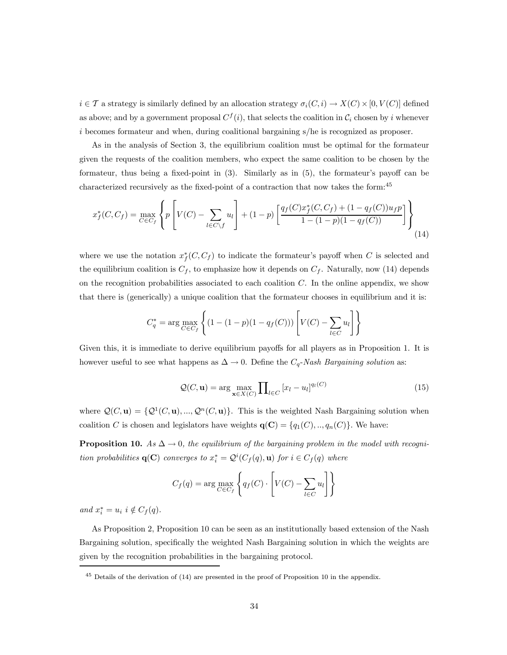$i \in \mathcal{T}$  a strategy is similarly defined by an allocation strategy  $\sigma_i(C, i) \to X(C) \times [0, V(C)]$  defined as above; and by a government proposal  $C^{f}(i)$ , that selects the coalition in  $\mathcal{C}_i$  chosen by *i* whenever becomes formateur and when, during coalitional bargaining s/he is recognized as proposer.

As in the analysis of Section 3, the equilibrium coalition must be optimal for the formateur given the requests of the coalition members, who expect the same coalition to be chosen by the formateur, thus being a fixed-point in (3). Similarly as in (5), the formateur's payoff can be characterized recursively as the fixed-point of a contraction that now takes the form:<sup>45</sup>

$$
x_f^*(C, C_f) = \max_{C \in C_f} \left\{ p \left[ V(C) - \sum_{l \in C \setminus f} u_l \right] + (1 - p) \left[ \frac{q_f(C)x_f^*(C, C_f) + (1 - q_f(C))u_f p}{1 - (1 - p)(1 - q_f(C))} \right] \right\}
$$
(14)

where we use the notation  $x_f^*(C, C_f)$  to indicate the formateur's payoff when C is selected and the equilibrium coalition is  $C_f$ , to emphasize how it depends on  $C_f$ . Naturally, now (14) depends on the recognition probabilities associated to each coalition  $C$ . In the online appendix, we show that there is (generically) a unique coalition that the formateur chooses in equilibrium and it is:

$$
C_q^* = \arg \max_{C \in C_f} \left\{ (1 - (1 - p)(1 - q_f(C))) \left[ V(C) - \sum_{l \in C} u_l \right] \right\}
$$

Given this, it is immediate to derive equilibrium payoffs for all players as in Proposition 1. It is however useful to see what happens as  $\Delta \to 0$ . Define the  $C_q$ -Nash Bargaining solution as:

$$
\mathcal{Q}(C, \mathbf{u}) = \arg \max_{\mathbf{x} \in X(C)} \prod_{l \in C} [x_l - u_l]^{q_l(C)} \tag{15}
$$

where  $\mathcal{Q}(C, \mathbf{u}) = {\mathcal{Q}^1(C, \mathbf{u}), ..., \mathcal{Q}^n(C, \mathbf{u})}.$  This is the weighted Nash Bargaining solution when coalition C is chosen and legislators have weights  $q(C) = \{q_1(C), ..., q_n(C)\}\.$  We have:

**Proposition 10.** As  $\Delta \rightarrow 0$ , the equilibrium of the bargaining problem in the model with recognition probabilities  $\mathbf{q}(\mathbf{C})$  converges to  $x_i^* = \mathcal{Q}^i(C_f(q), \mathbf{u})$  for  $i \in C_f(q)$  where

$$
C_f(q) = \arg \max_{C \in C_f} \left\{ q_f(C) \cdot \left[ V(C) - \sum_{l \in C} u_l \right] \right\}
$$

and  $x_i^* = u_i$   $i \notin C_f(q)$ .

As Proposition 2, Proposition 10 can be seen as an institutionally based extension of the Nash Bargaining solution, specifically the weighted Nash Bargaining solution in which the weights are given by the recognition probabilities in the bargaining protocol.

 $45$  Details of the derivation of (14) are presented in the proof of Proposition 10 in the appendix.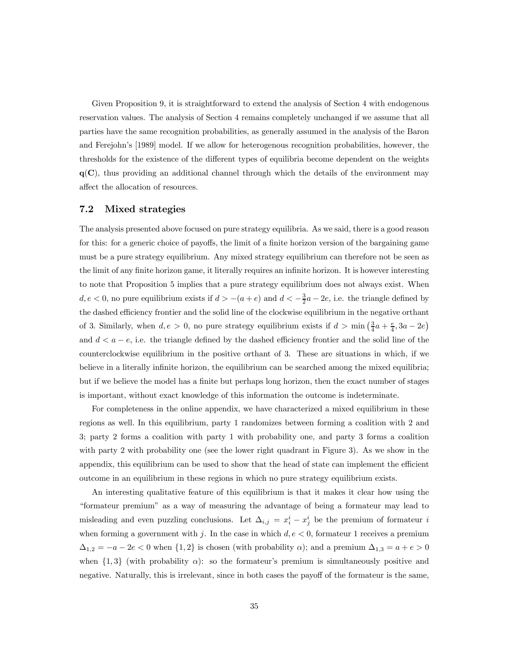Given Proposition 9, it is straightforward to extend the analysis of Section 4 with endogenous reservation values. The analysis of Section 4 remains completely unchanged if we assume that all parties have the same recognition probabilities, as generally assumed in the analysis of the Baron and Ferejohn's [1989] model. If we allow for heterogenous recognition probabilities, however, the thresholds for the existence of the different types of equilibria become dependent on the weights  $q(C)$ , thus providing an additional channel through which the details of the environment may affect the allocation of resources.

#### 7.2 Mixed strategies

The analysis presented above focused on pure strategy equilibria. As we said, there is a good reason for this: for a generic choice of payoffs, the limit of a finite horizon version of the bargaining game must be a pure strategy equilibrium. Any mixed strategy equilibrium can therefore not be seen as the limit of any finite horizon game, it literally requires an infinite horizon. It is however interesting to note that Proposition 5 implies that a pure strategy equilibrium does not always exist. When  $d, e < 0$ , no pure equilibrium exists if  $d > -(a + e)$  and  $d < -\frac{3}{2}a - 2e$ , i.e. the triangle defined by the dashed efficiency frontier and the solid line of the clockwise equilibrium in the negative orthant of 3. Similarly, when  $d, e > 0$ , no pure strategy equilibrium exists if  $d > \min\left(\frac{3}{4}a + \frac{e}{4}, 3a - 2e\right)$ and  $d < a - e$ , i.e. the triangle defined by the dashed efficiency frontier and the solid line of the counterclockwise equilibrium in the positive orthant of 3. These are situations in which, if we believe in a literally infinite horizon, the equilibrium can be searched among the mixed equilibria; but if we believe the model has a finite but perhaps long horizon, then the exact number of stages is important, without exact knowledge of this information the outcome is indeterminate.

For completeness in the online appendix, we have characterized a mixed equilibrium in these regions as well. In this equilibrium, party 1 randomizes between forming a coalition with 2 and 3; party 2 forms a coalition with party 1 with probability one, and party 3 forms a coalition with party 2 with probability one (see the lower right quadrant in Figure 3). As we show in the appendix, this equilibrium can be used to show that the head of state can implement the efficient outcome in an equilibrium in these regions in which no pure strategy equilibrium exists.

An interesting qualitative feature of this equilibrium is that it makes it clear how using the "formateur premium" as a way of measuring the advantage of being a formateur may lead to misleading and even puzzling conclusions. Let  $\Delta_{i,j} = x_i^i - x_j^i$  be the premium of formateur i when forming a government with j. In the case in which  $d, e < 0$ , formateur 1 receives a premium  $\Delta_{1,2} = -a - 2e < 0$  when  $\{1,2\}$  is chosen (with probability  $\alpha$ ); and a premium  $\Delta_{1,3} = a + e > 0$ when  $\{1,3\}$  (with probability  $\alpha$ ): so the formateur's premium is simultaneously positive and negative. Naturally, this is irrelevant, since in both cases the payoff of the formateur is the same,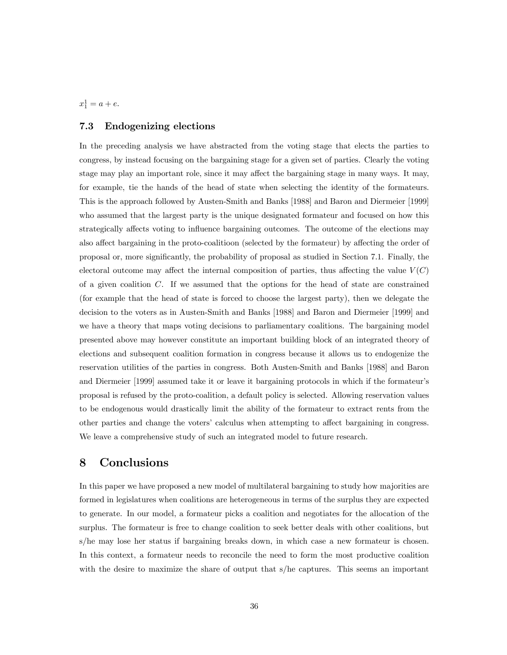$x_1^1 = a + e.$ 

#### 7.3 Endogenizing elections

In the preceding analysis we have abstracted from the voting stage that elects the parties to congress, by instead focusing on the bargaining stage for a given set of parties. Clearly the voting stage may play an important role, since it may affect the bargaining stage in many ways. It may, for example, tie the hands of the head of state when selecting the identity of the formateurs. This is the approach followed by Austen-Smith and Banks [1988] and Baron and Diermeier [1999] who assumed that the largest party is the unique designated formateur and focused on how this strategically affects voting to influence bargaining outcomes. The outcome of the elections may also affect bargaining in the proto-coalitioon (selected by the formateur) by affecting the order of proposal or, more significantly, the probability of proposal as studied in Section 7.1. Finally, the electoral outcome may affect the internal composition of parties, thus affecting the value  $V(C)$ of a given coalition  $C$ . If we assumed that the options for the head of state are constrained (for example that the head of state is forced to choose the largest party), then we delegate the decision to the voters as in Austen-Smith and Banks [1988] and Baron and Diermeier [1999] and we have a theory that maps voting decisions to parliamentary coalitions. The bargaining model presented above may however constitute an important building block of an integrated theory of elections and subsequent coalition formation in congress because it allows us to endogenize the reservation utilities of the parties in congress. Both Austen-Smith and Banks [1988] and Baron and Diermeier [1999] assumed take it or leave it bargaining protocols in which if the formateur's proposal is refused by the proto-coalition, a default policy is selected. Allowing reservation values to be endogenous would drastically limit the ability of the formateur to extract rents from the other parties and change the voters' calculus when attempting to affect bargaining in congress. We leave a comprehensive study of such an integrated model to future research.

# 8 Conclusions

In this paper we have proposed a new model of multilateral bargaining to study how majorities are formed in legislatures when coalitions are heterogeneous in terms of the surplus they are expected to generate. In our model, a formateur picks a coalition and negotiates for the allocation of the surplus. The formateur is free to change coalition to seek better deals with other coalitions, but s/he may lose her status if bargaining breaks down, in which case a new formateur is chosen. In this context, a formateur needs to reconcile the need to form the most productive coalition with the desire to maximize the share of output that s/he captures. This seems an important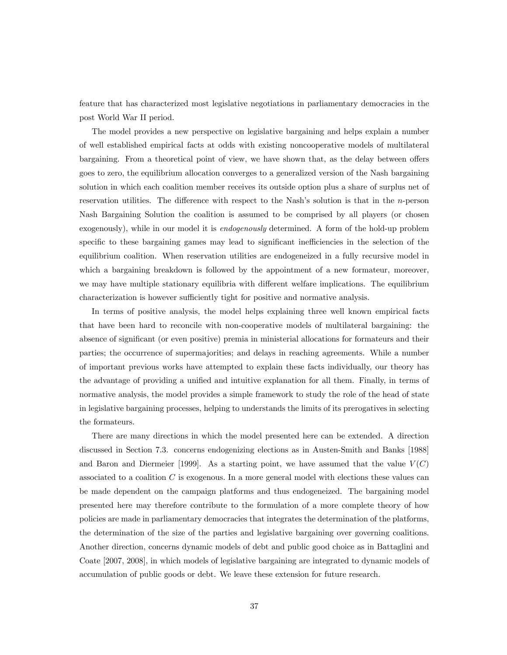feature that has characterized most legislative negotiations in parliamentary democracies in the post World War II period.

The model provides a new perspective on legislative bargaining and helps explain a number of well established empirical facts at odds with existing noncooperative models of multilateral bargaining. From a theoretical point of view, we have shown that, as the delay between offers goes to zero, the equilibrium allocation converges to a generalized version of the Nash bargaining solution in which each coalition member receives its outside option plus a share of surplus net of reservation utilities. The difference with respect to the Nash's solution is that in the  $n$ -person Nash Bargaining Solution the coalition is assumed to be comprised by all players (or chosen exogenously), while in our model it is *endogenously* determined. A form of the hold-up problem specific to these bargaining games may lead to significant inefficiencies in the selection of the equilibrium coalition. When reservation utilities are endogeneized in a fully recursive model in which a bargaining breakdown is followed by the appointment of a new formateur, moreover, we may have multiple stationary equilibria with different welfare implications. The equilibrium characterization is however sufficiently tight for positive and normative analysis.

In terms of positive analysis, the model helps explaining three well known empirical facts that have been hard to reconcile with non-cooperative models of multilateral bargaining: the absence of significant (or even positive) premia in ministerial allocations for formateurs and their parties; the occurrence of supermajorities; and delays in reaching agreements. While a number of important previous works have attempted to explain these facts individually, our theory has the advantage of providing a unified and intuitive explanation for all them. Finally, in terms of normative analysis, the model provides a simple framework to study the role of the head of state in legislative bargaining processes, helping to understands the limits of its prerogatives in selecting the formateurs.

There are many directions in which the model presented here can be extended. A direction discussed in Section 7.3. concerns endogenizing elections as in Austen-Smith and Banks [1988] and Baron and Diermeier [1999]. As a starting point, we have assumed that the value  $V(C)$ associated to a coalition  $C$  is exogenous. In a more general model with elections these values can be made dependent on the campaign platforms and thus endogeneized. The bargaining model presented here may therefore contribute to the formulation of a more complete theory of how policies are made in parliamentary democracies that integrates the determination of the platforms, the determination of the size of the parties and legislative bargaining over governing coalitions. Another direction, concerns dynamic models of debt and public good choice as in Battaglini and Coate [2007, 2008], in which models of legislative bargaining are integrated to dynamic models of accumulation of public goods or debt. We leave these extension for future research.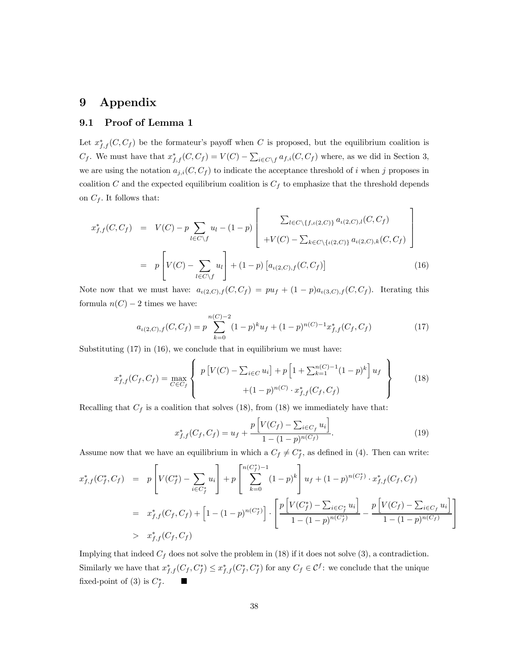# 9 Appendix

# 9.1 Proof of Lemma 1

Let  $x_{f,f}^*(C, C_f)$  be the formateur's payoff when C is proposed, but the equilibrium coalition is  $C_f$ . We must have that  $x_{f,f}^*(C, C_f) = V(C) - \sum_{i \in C \setminus f} a_{f,i}(C, C_f)$  where, as we did in Section 3, we are using the notation  $a_{j,i}(C, C_f)$  to indicate the acceptance threshold of *i* when *j* proposes in coalition  $C$  and the expected equilibrium coalition is  $C_f$  to emphasize that the threshold depends on  $C_f$ . It follows that:

$$
x_{f,f}^{*}(C, C_{f}) = V(C) - p \sum_{l \in C \setminus f} u_{l} - (1-p) \left[ \frac{\sum_{l \in C \setminus \{f, \iota(2,C)\}} a_{\iota(2,C),l}(C, C_{f})}{+V(C) - \sum_{k \in C \setminus \{t(2,C)\}} a_{\iota(2,C),k}(C, C_{f})} \right]
$$

$$
= p \left[ V(C) - \sum_{l \in C \setminus f} u_{l} \right] + (1-p) \left[ a_{\iota(2,C),f}(C, C_{f}) \right] \tag{16}
$$

Note now that we must have:  $a_{\iota(2,C),f}(C, C_f) = pu_f + (1-p)a_{\iota(3,C),f}(C, C_f)$ . Iterating this formula  $n(C) - 2$  times we have:

$$
a_{\iota(2,C),f}(C,C_f) = p \sum_{k=0}^{n(C)-2} (1-p)^k u_f + (1-p)^{n(C)-1} x_{f,f}^*(C_f, C_f)
$$
 (17)

Substituting  $(17)$  in  $(16)$ , we conclude that in equilibrium we must have:

$$
x_{f,f}^*(C_f, C_f) = \max_{C \in C_f} \left\{ p \left[ V(C) - \sum_{i \in C} u_i \right] + p \left[ 1 + \sum_{k=1}^{n(C)-1} (1-p)^k \right] u_f \right\} + (1-p)^{n(C)} \cdot x_{f,f}^*(C_f, C_f)
$$
(18)

Recalling that  $C_f$  is a coalition that solves (18), from (18) we immediately have that:

$$
x_{f,f}^*(C_f, C_f) = u_f + \frac{p\left[V(C_f) - \sum_{i \in C_f} u_i\right]}{1 - (1 - p)^{n(C_f)}}.
$$
\n(19)

Assume now that we have an equilibrium in which a  $C_f \neq C_f^*$ , as defined in (4). Then can write:

$$
x_{f,f}^*(C_f^*, C_f) = p\left[V(C_f^*) - \sum_{i \in C_f^*} u_i\right] + p\left[\sum_{k=0}^{n(C_f^*)-1} (1-p)^k\right]u_f + (1-p)^{n(C_f^*)} \cdot x_{f,f}^*(C_f, C_f)
$$
  

$$
= x_{f,f}^*(C_f, C_f) + \left[1 - (1-p)^{n(C_f^*)}\right] \cdot \left[\frac{p\left[V(C_f^*) - \sum_{i \in C_f^*} u_i\right]}{1 - (1-p)^{n(C_f^*)}} - \frac{p\left[V(C_f) - \sum_{i \in C_f} u_i\right]}{1 - (1-p)^{n(C_f)}}\right]
$$
  

$$
> x_{f,f}^*(C_f, C_f)
$$

Implying that indeed  $C_f$  does not solve the problem in (18) if it does not solve (3), a contradiction. Similarly we have that  $x_{f,f}^*(C_f, C_f^*) \leq x_{f,f}^*(C_f^*, C_f^*)$  for any  $C_f \in \mathcal{C}^f$ : we conclude that the unique fixed-point of (3) is  $C_f^*$ .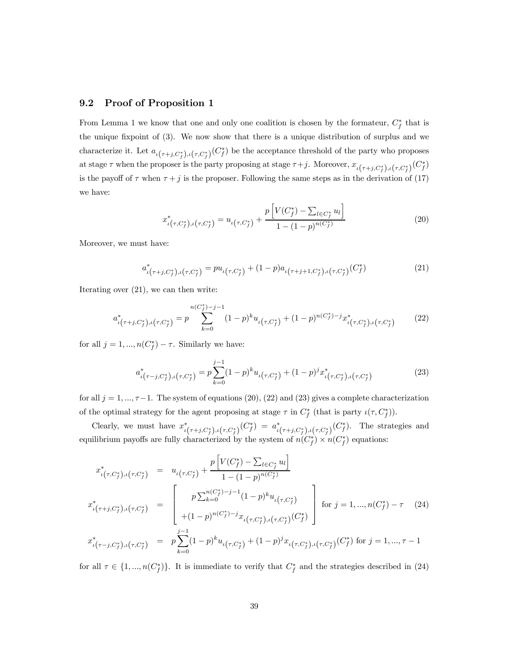#### 9.2 Proof of Proposition 1

From Lemma 1 we know that one and only one coalition is chosen by the formateur,  $C_f^*$  that is the unique fixpoint of (3). We now show that there is a unique distribution of surplus and we characterize it. Let  $a_{\iota(\tau+j,C_f^*)(C_f^*)}$  be the acceptance threshold of the party who proposes at stage  $\tau$  when the proposer is the party proposing at stage  $\tau + j$ . Moreover,  $x_{\iota(\tau + j, C_f^*)}, \iota(\tau, C_f^*)}$ is the payoff of  $\tau$  when  $\tau + j$  is the proposer. Following the same steps as in the derivation of (17) we have:

$$
x_{\iota(\tau,C_f^*)\iota(\tau,C_f^*)}^* = u_{\iota(\tau,C_f^*)} + \frac{p\left[V(C_f^*) - \sum_{l \in C_f^*} u_l\right]}{1 - (1 - p)^{n(C_f^*)}}
$$
(20)

Moreover, we must have:

$$
a_{\iota(\tau+j,C_f^*)\iota(\tau,C_f^*)}^* = pu_{\iota(\tau,C_f^*)} + (1-p)a_{\iota(\tau+j+1,C_f^*)\iota(\tau,C_f^*)}(C_f^*)
$$
\n(21)

Iterating over (21), we can then write:

$$
a_{\iota(\tau+j,C_f^*)\iota(\tau,C_f^*)}^* = p \sum_{k=0}^{n(C_f^*)-j-1} (1-p)^k u_{\iota(\tau,C_f^*)} + (1-p)^{n(C_f^*)-j} x_{\iota(\tau,C_f^*)\iota(\tau,C_f^*)}^* \tag{22}
$$

for all  $j = 1, ..., n(C_f^*) - \tau$ . Similarly we have:

$$
a_{\iota(\tau-j,C_f^*)\iota(\tau,C_f^*)}^* = p \sum_{k=0}^{j-1} (1-p)^k u_{\iota(\tau,C_f^*)} + (1-p)^j x_{\iota(\tau,C_f^*)\iota(\tau,C_f^*)}^* \tag{23}
$$

for all  $j = 1, ..., \tau-1$ . The system of equations (20), (22) and (23) gives a complete characterization of the optimal strategy for the agent proposing at stage  $\tau$  in  $C_f^*$  (that is party  $\iota(\tau, C_f^*)$ ).

Clearly, we must have  $x_{\iota(\tau+j,C_f^*)\iota(\tau,C_f^*)}^* (C_f^*) = a_{\iota(\tau+j,C_f^*)\iota(\tau,C_f^*)}^* (C_f^*)$ . The strategies and equilibrium payoffs are fully characterized by the system of  $n(C_f^*) \times n(C_f^*)$  equations:

$$
x_{\iota(\tau,C_f^*)\iota(\tau,C_f^*)}^* = u_{\iota(\tau,C_f^*)} + \frac{p\left[V(C_f^*) - \sum_{l \in C_f^*} u_l\right]}{1 - (1 - p)^{n(C_f^*)}}
$$
  

$$
x_{\iota(\tau+j,C_f^*)\iota(\tau,C_f^*)}^* = \begin{bmatrix} p\sum_{k=0}^{n(C_f^*)-j-1} (1-p)^k u_{\iota(\tau,C_f^*)} \\ p\sum_{k=0}^{n(C_f^*)-j-1} (1-p)^k u_{\iota(\tau,C_f^*)} \\ + (1-p)^{n(C_f^*)-j} x_{\iota(\tau,C_f^*)\iota(\tau,C_f^*)} (C_f^*) \end{bmatrix} \text{ for } j = 1,...,n(C_f^*) - \tau \quad (24)
$$
  

$$
x_{\iota(\tau-j,C_f^*)\iota(\tau,C_f^*)}^*
$$

for all  $\tau \in \{1, ..., n(C_f^*)\}$ . It is immediate to verify that  $C_f^*$  and the strategies described in (24)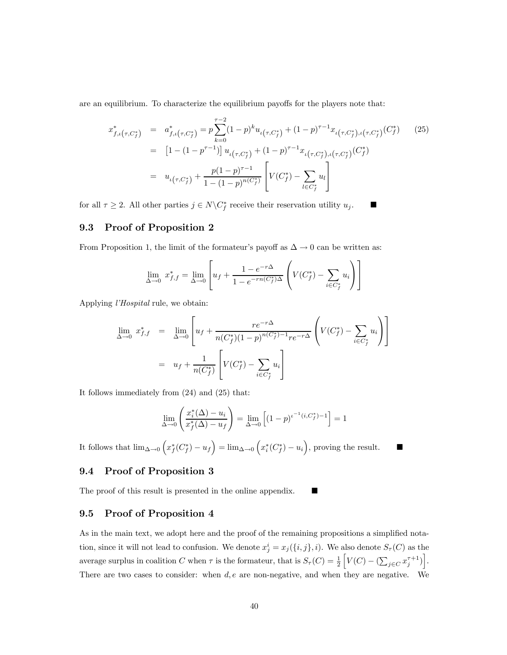are an equilibrium. To characterize the equilibrium payoffs for the players note that:

$$
x_{f,\iota(\tau,C_f^*)}^* = a_{f,\iota(\tau,C_f^*)}^* = p \sum_{k=0}^{\tau-2} (1-p)^k u_{\iota(\tau,C_f^*)} + (1-p)^{\tau-1} x_{\iota(\tau,C_f^*)\iota(\tau,C_f^*)}(C_f^*) \qquad (25)
$$
  
\n
$$
= [1 - (1-p^{\tau-1})] u_{\iota(\tau,C_f^*)} + (1-p)^{\tau-1} x_{\iota(\tau,C_f^*)\iota(\tau,C_f^*)}(C_f^*)
$$
  
\n
$$
= u_{\iota(\tau,C_f^*)} + \frac{p(1-p)^{\tau-1}}{1 - (1-p)^{n(C_f^*)}} \left[ V(C_f^*) - \sum_{l \in C_f^*} u_l \right]
$$

for all  $\tau \geq 2$ . All other parties  $j \in N \backslash C_f^*$  receive their reservation utility  $u_j$ .

#### 9.3 Proof of Proposition 2

From Proposition 1, the limit of the formateur's payoff as  $\Delta \to 0$  can be written as:

$$
\lim_{\Delta \to 0} x_{f,f}^* = \lim_{\Delta \to 0} \left[ u_f + \frac{1 - e^{-r\Delta}}{1 - e^{-rn(C_f^*)\Delta}} \left( V(C_f^*) - \sum_{i \in C_f^*} u_i \right) \right]
$$

Applying l'Hospital rule, we obtain:

$$
\lim_{\Delta \to 0} x_{f,f}^* = \lim_{\Delta \to 0} \left[ u_f + \frac{re^{-r\Delta}}{n(C_f^*)(1-p)^{n(C_f^*)-1}re^{-r\Delta}} \left( V(C_f^*) - \sum_{i \in C_f^*} u_i \right) \right]
$$
\n
$$
= u_f + \frac{1}{n(C_f^*)} \left[ V(C_f^*) - \sum_{i \in C_f^*} u_i \right]
$$

It follows immediately from (24) and (25) that:

$$
\lim_{\Delta \to 0} \left( \frac{x_i^*(\Delta) - u_i}{x_f^*(\Delta) - u_f} \right) = \lim_{\Delta \to 0} \left[ (1 - p)^{t^{-1}(i, C_f^*) - 1} \right] = 1
$$

It follows that  $\lim_{\Delta\to 0} (x_f^*(C_f^*) - u_f) = \lim_{\Delta\to 0} (x_i^*(C_f^*) - u_i)$ , proving the result.

#### 9.4 Proof of Proposition 3

The proof of this result is presented in the online appendix.

#### 9.5 Proof of Proposition 4

As in the main text, we adopt here and the proof of the remaining propositions a simplified notation, since it will not lead to confusion. We denote  $x_j^i = x_j(\{i, j\}, i)$ . We also denote  $S_\tau(C)$  as the average surplus in coalition C when  $\tau$  is the formateur, that is  $S_{\tau}(C) = \frac{1}{2}$  $\Bigl[V\bigl(C\bigr)-\bigl(\sum_{j\in C} x_j^{\tau+1}\bigr)\Bigr].$ There are two cases to consider: when  $d, e$  are non-negative, and when they are negative. We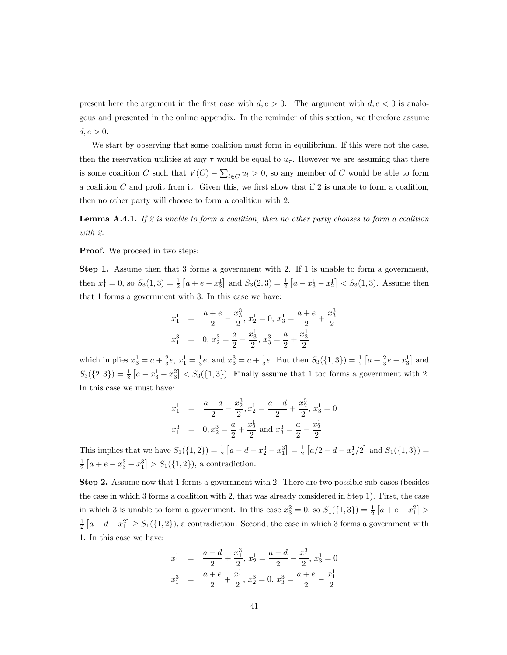present here the argument in the first case with  $d, e > 0$ . The argument with  $d, e < 0$  is analogous and presented in the online appendix. In the reminder of this section, we therefore assume  $d, e > 0.$ 

We start by observing that some coalition must form in equilibrium. If this were not the case, then the reservation utilities at any  $\tau$  would be equal to  $u_{\tau}$ . However we are assuming that there is some coalition C such that  $V(C) - \sum_{l \in C} u_l > 0$ , so any member of C would be able to form a coalition  $C$  and profit from it. Given this, we first show that if 2 is unable to form a coalition, then no other party will choose to form a coalition with 2.

**Lemma A.4.1.** If 2 is unable to form a coalition, then no other party chooses to form a coalition with 2.

**Proof.** We proceed in two steps:

Step 1. Assume then that 3 forms a government with 2. If 1 is unable to form a government, then  $x_1^1 = 0$ , so  $S_3(1,3) = \frac{1}{2} [a + e - x_3^1]$  and  $S_3(2,3) = \frac{1}{2} [a - x_3^1 - x_2^1] < S_3(1,3)$ . Assume then that 1 forms a government with 3. In this case we have:

$$
x_1^1 = \frac{a+e}{2} - \frac{x_3^3}{2}, x_2^1 = 0, x_3^1 = \frac{a+e}{2} + \frac{x_3^3}{2}
$$
  

$$
x_1^3 = 0, x_2^3 = \frac{a}{2} - \frac{x_3^1}{2}, x_3^3 = \frac{a}{2} + \frac{x_3^1}{2}
$$

which implies  $x_3^1 = a + \frac{2}{3}e$ ,  $x_1^1 = \frac{1}{3}e$ , and  $x_3^3 = a + \frac{1}{3}e$ . But then  $S_3({1, 3}) = \frac{1}{2}[a + \frac{2}{3}e - x_3^1]$  and  $S_3({2, 3}) = \frac{1}{2} [a - x_3^1 - x_3^2] < S_3({1, 3})$ . Finally assume that 1 too forms a government with 2. In this case we must have:

$$
x_1^1 = \frac{a-d}{2} - \frac{x_2^3}{2}, x_2^1 = \frac{a-d}{2} + \frac{x_2^3}{2}, x_3^1 = 0
$$
  

$$
x_1^3 = 0, x_2^3 = \frac{a}{2} + \frac{x_2^1}{2} \text{ and } x_3^3 = \frac{a}{2} - \frac{x_2^1}{2}
$$

This implies that we have  $S_1({1, 2}) = \frac{1}{2} [a - d - x_2^3 - x_1^3] = \frac{1}{2} [a/2 - d - x_2^1/2]$  and  $S_1({1, 3}) =$  $\frac{1}{2}[a+e-x_3^3-x_1^3] > S_1(\{1,2\}),$  a contradiction.

Step 2. Assume now that 1 forms a government with 2. There are two possible sub-cases (besides the case in which 3 forms a coalition with 2, that was already considered in Step 1). First, the case in which 3 is unable to form a government. In this case  $x_3^2 = 0$ , so  $S_1({1, 3}) = \frac{1}{2}[a + e - x_1^2] >$  $\frac{1}{2}$   $[a - d - x_1^2] \geq S_1(\{1,2\})$ , a contradiction. Second, the case in which 3 forms a government with 1. In this case we have:

$$
x_1^1 = \frac{a-d}{2} + \frac{x_1^3}{2}, x_2^1 = \frac{a-d}{2} - \frac{x_1^3}{2}, x_3^1 = 0
$$
  

$$
x_1^3 = \frac{a+e}{2} + \frac{x_1^1}{2}, x_2^3 = 0, x_3^3 = \frac{a+e}{2} - \frac{x_1^1}{2}
$$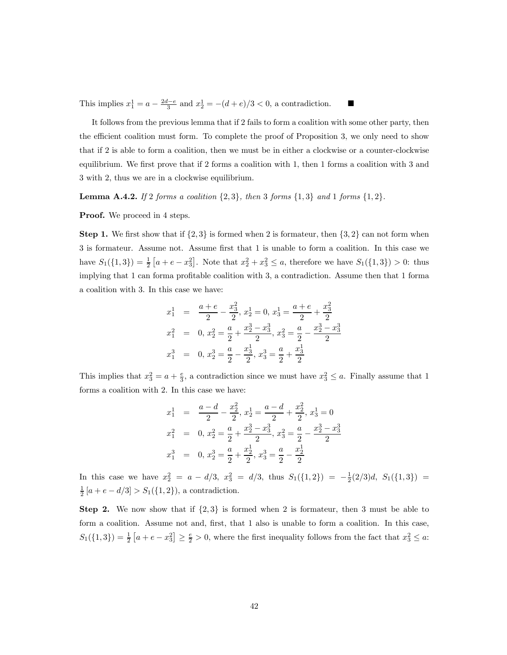This implies  $x_1^1 = a - \frac{2d-e}{3}$  and  $x_2^1 = -(d+e)/3 < 0$ , a contradiction.

It follows from the previous lemma that if 2 fails to form a coalition with some other party, then the efficient coalition must form. To complete the proof of Proposition 3, we only need to show that if 2 is able to form a coalition, then we must be in either a clockwise or a counter-clockwise equilibrium. We first prove that if 2 forms a coalition with 1, then 1 forms a coalition with 3 and 3 with 2, thus we are in a clockwise equilibrium.

**Lemma A.4.2.** If 2 forms a coalition  $\{2,3\}$ , then 3 forms  $\{1,3\}$  and 1 forms  $\{1,2\}$ .

**Proof.** We proceed in 4 steps.

**Step 1.** We first show that if  $\{2,3\}$  is formed when 2 is formateur, then  $\{3,2\}$  can not form when 3 is formateur. Assume not. Assume first that 1 is unable to form a coalition. In this case we have  $S_1({1, 3}) = \frac{1}{2} [a + e - x_3^2]$ . Note that  $x_2^2 + x_3^2 \le a$ , therefore we have  $S_1({1, 3}) > 0$ : thus implying that 1 can forma profitable coalition with 3, a contradiction. Assume then that 1 forma a coalition with 3. In this case we have:

$$
x_1^1 = \frac{a+e}{2} - \frac{x_3^2}{2}, x_2^1 = 0, x_3^1 = \frac{a+e}{2} + \frac{x_3^2}{2}
$$
  
\n
$$
x_1^2 = 0, x_2^2 = \frac{a}{2} + \frac{x_2^3 - x_3^3}{2}, x_3^2 = \frac{a}{2} - \frac{x_2^3 - x_3^3}{2}
$$
  
\n
$$
x_1^3 = 0, x_2^3 = \frac{a}{2} - \frac{x_3^1}{2}, x_3^3 = \frac{a}{2} + \frac{x_3^1}{2}
$$

This implies that  $x_3^2 = a + \frac{e}{3}$ , a contradiction since we must have  $x_3^2 \le a$ . Finally assume that 1 forms a coalition with 2. In this case we have:

$$
x_1^1 = \frac{a-d}{2} - \frac{x_2^2}{2}, x_2^1 = \frac{a-d}{2} + \frac{x_2^2}{2}, x_3^1 = 0
$$
  
\n
$$
x_1^2 = 0, x_2^2 = \frac{a}{2} + \frac{x_2^3 - x_3^3}{2}, x_3^2 = \frac{a}{2} - \frac{x_2^3 - x_3^3}{2}
$$
  
\n
$$
x_1^3 = 0, x_2^3 = \frac{a}{2} + \frac{x_2^1}{2}, x_3^3 = \frac{a}{2} - \frac{x_2^1}{2}
$$

In this case we have  $x_2^2 = a - d/3$ ,  $x_3^2 = d/3$ , thus  $S_1({1, 2}) = -\frac{1}{2}(2/3)d$ ,  $S_1({1, 3}) =$  $\frac{1}{2}[a + e - d/3] > S_1({1, 2}),$  a contradiction.

**Step 2.** We now show that if  $\{2,3\}$  is formed when 2 is formateur, then 3 must be able to form a coalition. Assume not and, first, that 1 also is unable to form a coalition. In this case,  $S_1({1, 3}) = \frac{1}{2} [a + e - x_3^2] \ge \frac{e}{2} > 0$ , where the first inequality follows from the fact that  $x_3^2 \le a$ .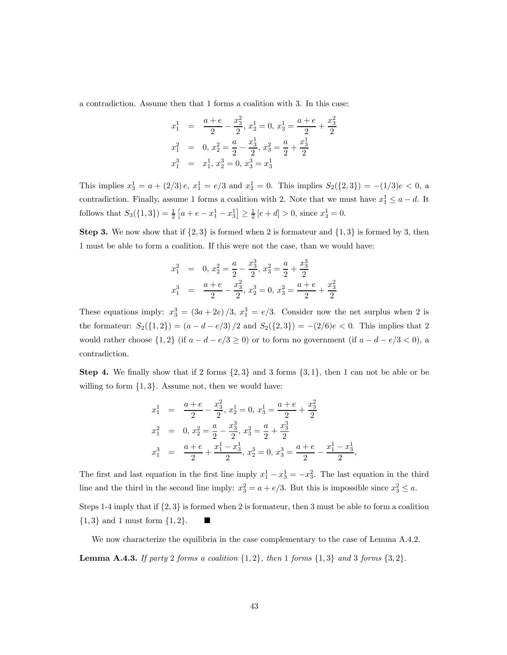a contradiction. Assume then that 1 forms a coalition with 3. In this case:

$$
x_1^1 = \frac{a+e}{2} - \frac{x_3^2}{2}, x_2^1 = 0, x_3^1 = \frac{a+e}{2} + \frac{x_3^2}{2}
$$
  
\n
$$
x_1^2 = 0, x_2^2 = \frac{a}{2} - \frac{x_3^1}{2}, x_3^2 = \frac{a}{2} + \frac{x_3^1}{2}
$$
  
\n
$$
x_1^3 = x_1^1, x_2^3 = 0, x_3^3 = x_3^1
$$

This implies  $x_3^1 = a + (2/3)e$ ,  $x_1^1 = e/3$  and  $x_2^1 = 0$ . This implies  $S_2({2, 3}) = -(1/3)e < 0$ , a contradiction. Finally, assume 1 forms a coalition with 2. Note that we must have  $x_1^1 \le a - d$ . It follows that  $S_3({1, 3}) = \frac{1}{2} [a + e - x_1^1 - x_3^1] \ge \frac{1}{2} [e + d] > 0$ , since  $x_3^1 = 0$ .

**Step 3.** We now show that if  $\{2,3\}$  is formed when 2 is formateur and  $\{1,3\}$  is formed by 3, then 1 must be able to form a coalition. If this were not the case, than we would have:

$$
x_1^2 = 0, x_2^2 = \frac{a}{2} - \frac{x_3^3}{2}, x_3^2 = \frac{a}{2} + \frac{x_3^3}{2}
$$
  

$$
x_1^3 = \frac{a+e}{2} - \frac{x_3^2}{2}, x_2^3 = 0, x_3^2 = \frac{a+e}{2} + \frac{x_3^2}{2}
$$

These equations imply:  $x_3^3 = (3a + 2e)/3$ ,  $x_1^3 = e/3$ . Consider now the net surplus when 2 is the formateur:  $S_2({1, 2}) = (a - d - e/3)/2$  and  $S_2({2, 3}) = -(2/6)e < 0$ . This implies that 2 would rather choose  $\{1,2\}$  (if  $a-d-e/3\geq 0$ ) or to form no government (if  $a-d-e/3<0$ ), a contradiction.

**Step 4.** We finally show that if 2 forms  $\{2,3\}$  and 3 forms  $\{3,1\}$ , then 1 can not be able or be willing to form  $\{1,3\}$ . Assume not, then we would have:

$$
x_1^1 = \frac{a+e}{2} - \frac{x_3^2}{2}, x_2^1 = 0, x_3^1 = \frac{a+e}{2} + \frac{x_3^2}{2}
$$
  
\n
$$
x_1^2 = 0, x_2^2 = \frac{a}{2} - \frac{x_3^3}{2}, x_3^2 = \frac{a}{2} + \frac{x_3^3}{2}
$$
  
\n
$$
x_1^3 = \frac{a+e}{2} + \frac{x_1^1 - x_3^1}{2}, x_2^3 = 0, x_3^3 = \frac{a+e}{2} - \frac{x_1^1 - x_3^1}{2},
$$

The first and last equation in the first line imply  $x_1^1 - x_3^1 = -x_3^2$ . The last equation in the third line and the third in the second line imply:  $x_3^2 = a + e/3$ . But this is impossible since  $x_3^2 \le a$ .

Steps 1-4 imply that if  $\{2,3\}$  is formed when 2 is formateur, then 3 must be able to form a coalition  $\{1,3\}$  and 1 must form  $\{1,2\}$ .

We now characterize the equilibria in the case complementary to the case of Lemma A.4.2. **Lemma A.4.3.** If party 2 forms a coalition  $\{1,2\}$ , then 1 forms  $\{1,3\}$  and 3 forms  $\{3,2\}$ .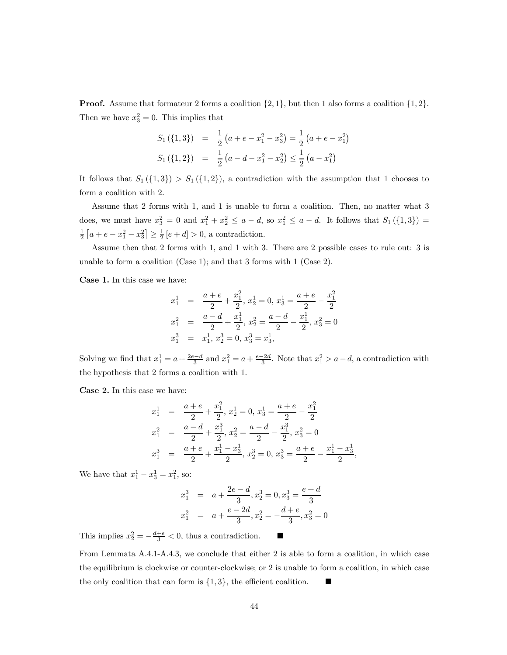**Proof.** Assume that formateur 2 forms a coalition  $\{2, 1\}$ , but then 1 also forms a coalition  $\{1, 2\}$ . Then we have  $x_3^2 = 0$ . This implies that

$$
S_1(\{1,3\}) = \frac{1}{2}(a+e-x_1^2-x_3^2) = \frac{1}{2}(a+e-x_1^2)
$$
  

$$
S_1(\{1,2\}) = \frac{1}{2}(a-d-x_1^2-x_2^2) \le \frac{1}{2}(a-x_1^2)
$$

It follows that  $S_1({1,3}) > S_1({1,2})$ , a contradiction with the assumption that 1 chooses to form a coalition with 2.

Assume that 2 forms with 1, and 1 is unable to form a coalition. Then, no matter what 3 does, we must have  $x_3^2 = 0$  and  $x_1^2 + x_2^2 \le a - d$ , so  $x_1^2 \le a - d$ . It follows that  $S_1({1,3}) =$  $\frac{1}{2}[a+e-x_1^2-x_3^2] \ge \frac{1}{2}[e+d] > 0$ , a contradiction.

Assume then that 2 forms with 1, and 1 with 3. There are 2 possible cases to rule out: 3 is unable to form a coalition (Case 1); and that 3 forms with 1 (Case 2).

Case 1. In this case we have:

$$
x_1^1 = \frac{a+e}{2} + \frac{x_1^2}{2}, x_2^1 = 0, x_3^1 = \frac{a+e}{2} - \frac{x_1^2}{2}
$$
  
\n
$$
x_1^2 = \frac{a-d}{2} + \frac{x_1^1}{2}, x_2^2 = \frac{a-d}{2} - \frac{x_1^1}{2}, x_3^2 = 0
$$
  
\n
$$
x_1^3 = x_1^1, x_2^3 = 0, x_3^3 = x_3^1,
$$

Solving we find that  $x_1^1 = a + \frac{2e-d}{3}$  and  $x_1^2 = a + \frac{e-2d}{3}$ . Note that  $x_1^2 > a-d$ , a contradiction with the hypothesis that 2 forms a coalition with 1.

Case 2. In this case we have:

$$
x_1^1 = \frac{a+e}{2} + \frac{x_1^2}{2}, x_2^1 = 0, x_3^1 = \frac{a+e}{2} - \frac{x_1^2}{2}
$$
  
\n
$$
x_1^2 = \frac{a-d}{2} + \frac{x_1^3}{2}, x_2^2 = \frac{a-d}{2} - \frac{x_1^3}{2}, x_3^2 = 0
$$
  
\n
$$
x_1^3 = \frac{a+e}{2} + \frac{x_1^1 - x_3^1}{2}, x_2^3 = 0, x_3^3 = \frac{a+e}{2} - \frac{x_1^1 - x_3^1}{2},
$$

We have that  $x_1^1 - x_3^1 = x_1^2$ , so:

$$
x_1^3 = a + \frac{2e - d}{3}, x_2^3 = 0, x_3^3 = \frac{e + d}{3}
$$
  

$$
x_1^2 = a + \frac{e - 2d}{3}, x_2^2 = -\frac{d + e}{3}, x_3^2 = 0
$$

This implies  $x_2^2 = -\frac{d+e}{3} < 0$ , thus a contradiction.  $\blacksquare$ 

From Lemmata A.4.1-A.4.3, we conclude that either 2 is able to form a coalition, in which case the equilibrium is clockwise or counter-clockwise; or 2 is unable to form a coalition, in which case the only coalition that can form is  $\{1,3\}$ , the efficient coalition.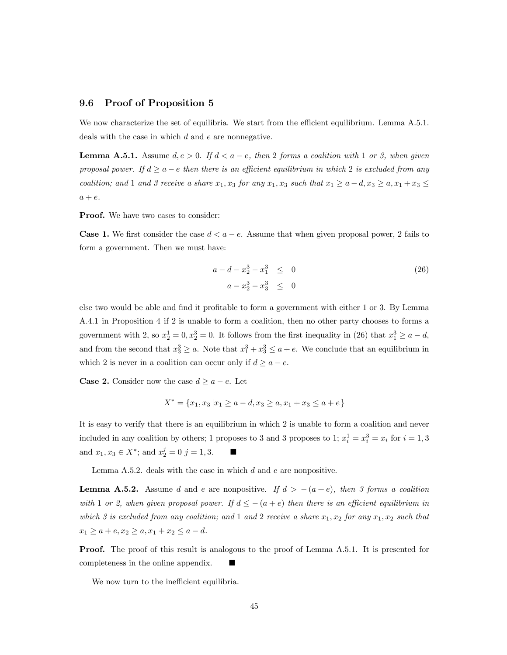#### 9.6 Proof of Proposition 5

We now characterize the set of equilibria. We start from the efficient equilibrium. Lemma A.5.1. deals with the case in which  $d$  and  $e$  are nonnegative.

**Lemma A.5.1.** Assume  $d, e > 0$ . If  $d < a - e$ , then 2 forms a coalition with 1 or 3, when given proposal power. If  $d \ge a - e$  then there is an efficient equilibrium in which 2 is excluded from any coalition; and 1 and 3 receive a share  $x_1, x_3$  for any  $x_1, x_3$  such that  $x_1 \ge a - d, x_3 \ge a, x_1 + x_3 \le a$  $a + e.$ 

**Proof.** We have two cases to consider:

**Case 1.** We first consider the case  $d < a - e$ . Assume that when given proposal power, 2 fails to form a government. Then we must have:

$$
a - d - x_2^3 - x_1^3 \le 0
$$
  
\n
$$
a - x_2^3 - x_3^3 \le 0
$$
\n(26)

else two would be able and find it profitable to form a government with either 1 or 3. By Lemma A.4.1 in Proposition 4 if 2 is unable to form a coalition, then no other party chooses to forms a government with 2, so  $x_2^1 = 0, x_2^3 = 0$ . It follows from the first inequality in (26) that  $x_1^3 \ge a - d$ , and from the second that  $x_3^3 \ge a$ . Note that  $x_1^3 + x_3^3 \le a + e$ . We conclude that an equilibrium in which 2 is never in a coalition can occur only if  $d \ge a - e$ .

**Case 2.** Consider now the case  $d \ge a - e$ . Let

$$
X^* = \{x_1, x_3 \mid x_1 \ge a - d, x_3 \ge a, x_1 + x_3 \le a + e\}
$$

It is easy to verify that there is an equilibrium in which 2 is unable to form a coalition and never included in any coalition by others; 1 proposes to 3 and 3 proposes to 1;  $x_i^1 = x_i^3 = x_i$  for  $i = 1, 3$ and  $x_1, x_3 \in X^*$ ; and  $x_2^j = 0$   $j = 1, 3$ .

Lemma  $A.5.2.$  deals with the case in which  $d$  and  $e$  are nonpositive.

**Lemma A.5.2.** Assume *d* and *e* are nonpositive. If  $d > -(a+e)$ , then 3 forms *a* coalition with 1 or 2, when given proposal power. If  $d \leq -(a + e)$  then there is an efficient equilibrium in which 3 is excluded from any coalition; and 1 and 2 receive a share  $x_1, x_2$  for any  $x_1, x_2$  such that  $x_1 \ge a + e, x_2 \ge a, x_1 + x_2 \le a - d.$ 

**Proof.** The proof of this result is analogous to the proof of Lemma A.5.1. It is presented for completeness in the online appendix.

We now turn to the inefficient equilibria.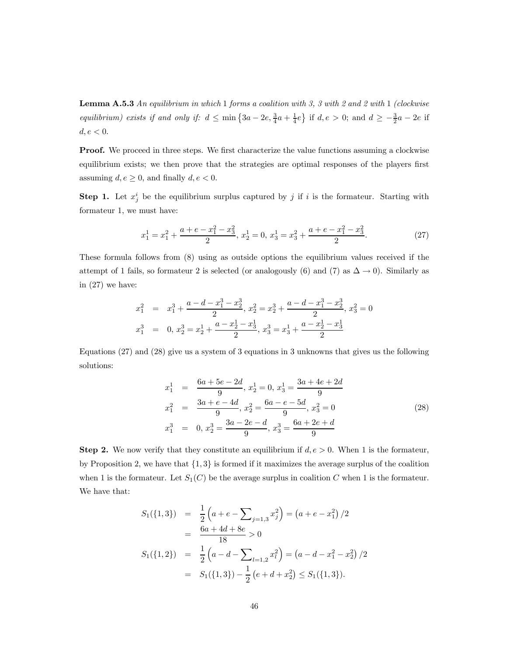**Lemma A.5.3** An equilibrium in which 1 forms a coalition with 3, 3 with 2 and 2 with 1 (clockwise equilibrium) exists if and only if:  $d \le \min\left\{3a - 2e, \frac{3}{4}a + \frac{1}{4}e\right\}$  if  $d, e > 0$ ; and  $d \ge -\frac{3}{2}a - 2e$  if  $d, e < 0.$ 

**Proof.** We proceed in three steps. We first characterize the value functions assuming a clockwise equilibrium exists; we then prove that the strategies are optimal responses of the players first assuming  $d, e \geq 0$ , and finally  $d, e < 0$ .

**Step 1.** Let  $x_j^i$  be the equilibrium surplus captured by j if i is the formateur. Starting with formateur 1, we must have:

$$
x_1^1 = x_1^2 + \frac{a + e - x_1^2 - x_3^2}{2}, \ x_2^1 = 0, \ x_3^1 = x_3^2 + \frac{a + e - x_1^2 - x_3^2}{2}.
$$
 (27)

These formula follows from (8) using as outside options the equilibrium values received if the attempt of 1 fails, so formateur 2 is selected (or analogously (6) and (7) as  $\Delta \to 0$ ). Similarly as in (27) we have:

$$
x_1^2 = x_1^3 + \frac{a - d - x_1^3 - x_2^3}{2}, x_2^2 = x_2^3 + \frac{a - d - x_1^3 - x_2^3}{2}, x_3^2 = 0
$$
  

$$
x_1^3 = 0, x_2^3 = x_2^1 + \frac{a - x_2^1 - x_3^1}{2}, x_3^3 = x_3^1 + \frac{a - x_2^1 - x_3^1}{2}
$$

Equations (27) and (28) give us a system of 3 equations in 3 unknowns that gives us the following solutions:

$$
x_1^1 = \frac{6a + 5e - 2d}{9}, x_2^1 = 0, x_3^1 = \frac{3a + 4e + 2d}{9}
$$
  
\n
$$
x_1^2 = \frac{3a + e - 4d}{9}, x_2^2 = \frac{6a - e - 5d}{9}, x_3^2 = 0
$$
  
\n
$$
x_1^3 = 0, x_2^3 = \frac{3a - 2e - d}{9}, x_3^3 = \frac{6a + 2e + d}{9}
$$
\n(28)

**Step 2.** We now verify that they constitute an equilibrium if  $d, e > 0$ . When 1 is the formateur, by Proposition 2, we have that  $\{1,3\}$  is formed if it maximizes the average surplus of the coalition when 1 is the formateur. Let  $S_1(C)$  be the average surplus in coalition  $C$  when 1 is the formateur. We have that:

$$
S_1(\{1,3\}) = \frac{1}{2} \left( a + e - \sum_{j=1,3} x_j^2 \right) = \left( a + e - x_1^2 \right) / 2
$$
  
= 
$$
\frac{6a + 4d + 8e}{18} > 0
$$
  

$$
S_1(\{1,2\}) = \frac{1}{2} \left( a - d - \sum_{l=1,2} x_l^2 \right) = \left( a - d - x_1^2 - x_2^2 \right) / 2
$$
  
= 
$$
S_1(\{1,3\}) - \frac{1}{2} \left( e + d + x_2^2 \right) \le S_1(\{1,3\}).
$$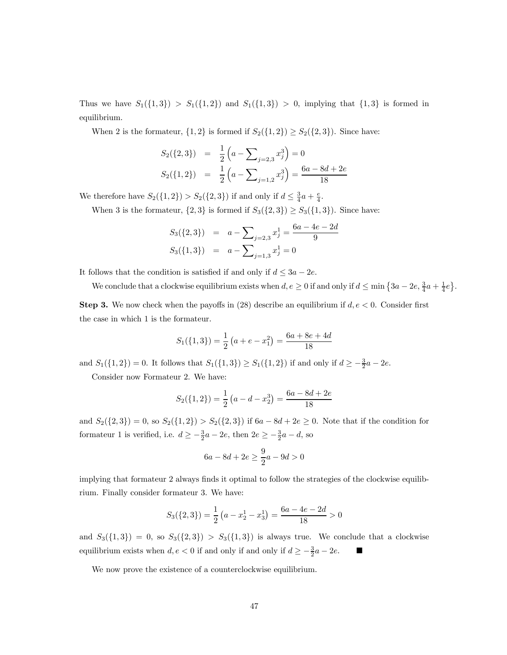Thus we have  $S_1({1, 3}) > S_1({1, 2})$  and  $S_1({1, 3}) > 0$ , implying that  ${1, 3}$  is formed in equilibrium.

When 2 is the formateur,  $\{1,2\}$  is formed if  $S_2(\{1,2\}) \geq S_2(\{2,3\})$ . Since have:

$$
S_2({2, 3}) = \frac{1}{2} \left( a - \sum_{j=2,3} x_j^3 \right) = 0
$$
  

$$
S_2({1, 2}) = \frac{1}{2} \left( a - \sum_{j=1,2} x_j^3 \right) = \frac{6a - 8d + 2e}{18}
$$

We therefore have  $S_2({1, 2}) > S_2({2, 3})$  if and only if  $d \leq \frac{3}{4}a + \frac{e}{4}$ .

When 3 is the formateur,  $\{2,3\}$  is formed if  $S_3({2,3}) \geq S_3({1,3})$ . Since have:

$$
S_3({2,3}) = a - \sum_{j=2,3} x_j^1 = \frac{6a - 4e - 2d}{9}
$$
  

$$
S_3({1,3}) = a - \sum_{j=1,3} x_j^1 = 0
$$

It follows that the condition is satisfied if and only if  $d \leq 3a - 2e$ .

We conclude that a clockwise equilibrium exists when  $d, e \ge 0$  if and only if  $d \le \min\left\{3a - 2e, \frac{3}{4}a + \frac{1}{4}e\right\}$ .

**Step 3.** We now check when the payoffs in (28) describe an equilibrium if  $d, e < 0$ . Consider first the case in which 1 is the formateur.

$$
S_1({1,3}) = \frac{1}{2}(a + e - x_1^2) = \frac{6a + 8e + 4d}{18}
$$

and  $S_1({1, 2}) = 0$ . It follows that  $S_1({1, 3}) \ge S_1({1, 2})$  if and only if  $d \ge -\frac{3}{2}a - 2e$ .

Consider now Formateur 2. We have:

$$
S_2({1, 2}) = \frac{1}{2} (a - d - x_2^3) = \frac{6a - 8d + 2e}{18}
$$

and  $S_2({2, 3}) = 0$ , so  $S_2({1, 2}) > S_2({2, 3})$  if  $6a - 8d + 2e \ge 0$ . Note that if the condition for formateur 1 is verified, i.e.  $d \ge -\frac{3}{2}a - 2e$ , then  $2e \ge -\frac{3}{2}a - d$ , so

$$
6a - 8d + 2e \ge \frac{9}{2}a - 9d > 0
$$

implying that formateur 2 always finds it optimal to follow the strategies of the clockwise equilibrium. Finally consider formateur 3. We have:

$$
S_3({2,3}) = \frac{1}{2}(a - x_2^1 - x_3^1) = \frac{6a - 4e - 2d}{18} > 0
$$

and  $S_3({1, 3}) = 0$ , so  $S_3({2, 3}) > S_3({1, 3})$  is always true. We conclude that a clockwise equilibrium exists when  $d, e < 0$  if and only if and only if  $d \geq -\frac{3}{2}a - 2e$ .

We now prove the existence of a counterclockwise equilibrium.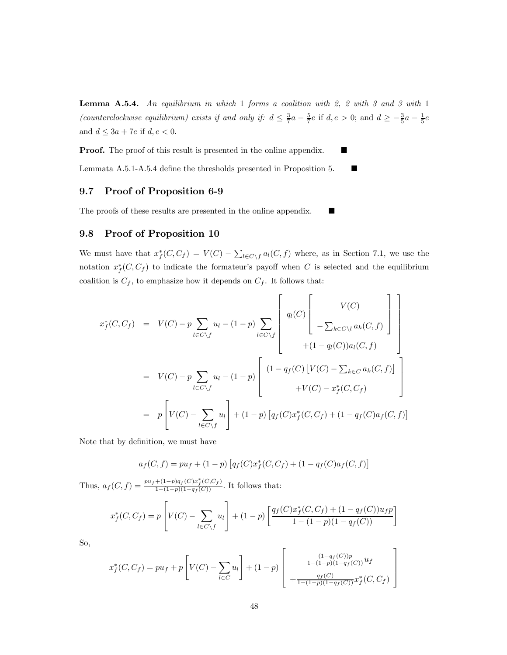**Lemma A.5.4.** An equilibrium in which 1 forms a coalition with  $2$ ,  $2$  with  $3$  and  $3$  with 1 (counterclockwise equilibrium) exists if and only if:  $d \leq \frac{3}{7}a - \frac{5}{7}e$  if  $d, e > 0$ ; and  $d \geq -\frac{3}{5}a - \frac{1}{5}e$ and  $d \leq 3a + 7e$  if  $d, e < 0$ .

Proof. The proof of this result is presented in the online appendix.

Lemmata A.5.1-A.5.4 define the thresholds presented in Proposition 5.  $\blacksquare$ 

### 9.7 Proof of Proposition 6-9

The proofs of these results are presented in the online appendix.

#### 9.8 Proof of Proposition 10

We must have that  $x_f^*(C, C_f) = V(C) - \sum_{l \in C \setminus f} a_l(C, f)$  where, as in Section 7.1, we use the notation  $x_f^*(C, C_f)$  to indicate the formateur's payoff when C is selected and the equilibrium coalition is  $C_f$ , to emphasize how it depends on  $C_f$ . It follows that:

$$
x_f^*(C, C_f) = V(C) - p \sum_{l \in C \setminus f} u_l - (1 - p) \sum_{l \in C \setminus f} \left[ q_l(C) \left[ \begin{array}{c} V(C) \\ - \sum_{k \in C \setminus l} a_k(C, f) \end{array} \right] \right]
$$
  
\n
$$
= V(C) - p \sum_{l \in C \setminus f} u_l - (1 - p) \left[ \begin{array}{c} (1 - q_f(C) [V(C) - \sum_{k \in C} a_k(C, f)] \\ + (1 - q_l(C) - \sum_{k \in C} a_k(C, f)] \end{array} \right]
$$
  
\n
$$
= p \left[ V(C) - \sum_{l \in C \setminus f} u_l \right] + (1 - p) \left[ q_f(C) x_f^*(C, C_f) + (1 - q_f(C) a_f(C, f)) \right]
$$

Note that by definition, we must have

$$
a_f(C, f) = pu_f + (1 - p) \left[ q_f(C)x_f^*(C, C_f) + (1 - q_f(C)a_f(C, f) \right]
$$

Thus,  $a_f(C, f) = \frac{pu_f + (1-p)q_f(C)x_f^*(C, C_f)}{1-(1-p)(1-q_f(C))}$ . It follows that:

$$
x_f^*(C, C_f) = p \left[ V(C) - \sum_{l \in C \setminus f} u_l \right] + (1 - p) \left[ \frac{q_f(C)x_f^*(C, C_f) + (1 - q_f(C))u_f p}{1 - (1 - p)(1 - q_f(C))} \right]
$$

So,

$$
x_f^*(C, C_f) = pu_f + p \left[ V(C) - \sum_{l \in C} u_l \right] + (1 - p) \left[ \frac{\frac{(1 - q_f(C))p}{1 - (1 - p)(1 - q_f(C))} u_f}{\frac{q_f(C)}{1 - (1 - p)(1 - q_f(C))} x_f^*(C, C_f)} \right]
$$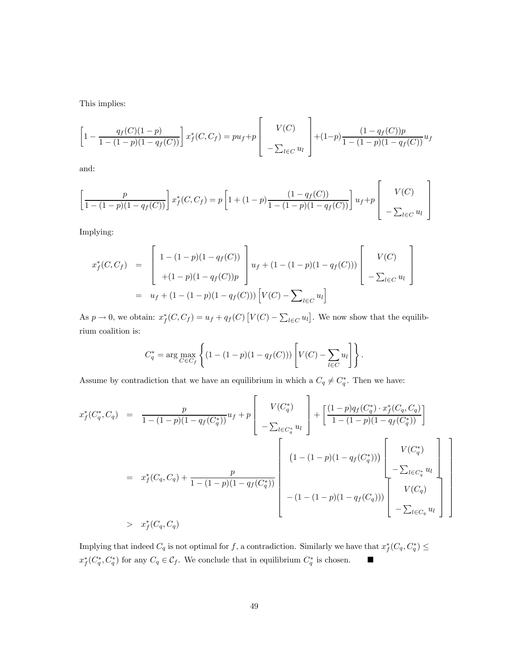This implies:

$$
\left[1 - \frac{q_f(C)(1-p)}{1 - (1-p)(1 - q_f(C))}\right] x_f^*(C, C_f) = p u_f + p \left[\begin{array}{c} V(C) \\ -\sum_{l \in C} u_l \end{array}\right] + (1-p) \frac{(1 - q_f(C))p}{1 - (1-p)(1 - q_f(C))} u_f
$$

and:

$$
\left[\frac{p}{1 - (1 - p)(1 - q_f(C))}\right] x_f^*(C, C_f) = p \left[1 + (1 - p)\frac{(1 - q_f(C))}{1 - (1 - p)(1 - q_f(C))}\right] u_f + p \left[\begin{array}{c} V(C) \\ -\sum_{l \in C} u_l \end{array}\right]
$$

Implying:

$$
x_f^*(C, C_f) = \begin{bmatrix} 1 - (1 - p)(1 - q_f(C)) \\ + (1 - p)(1 - q_f(C))p \end{bmatrix} u_f + (1 - (1 - p)(1 - q_f(C))) \begin{bmatrix} V(C) \\ -\sum_{l \in C} u_l \end{bmatrix}
$$
  
=  $u_f + (1 - (1 - p)(1 - q_f(C))) [V(C) - \sum_{l \in C} u_l]$ 

As  $p \to 0$ , we obtain:  $x_f^*(C, C_f) = u_f + q_f(C) [V(C) - \sum_{l \in C} u_l]$ . We now show that the equilibrium coalition is:

$$
C_q^* = \arg \max_{C \in C_f} \left\{ (1 - (1 - p)(1 - q_f(C))) \left[ V(C) - \sum_{l \in C} u_l \right] \right\}.
$$

Assume by contradiction that we have an equilibrium in which a  $C_q \neq C_q^*$ . Then we have:

$$
x_f^*(C_q^*, C_q) = \frac{p}{1 - (1 - p)(1 - q_f(C_q^*))} u_f + p \left[ \begin{array}{c} V(C_q^*) \\ -\sum_{l \in C_q^*} u_l \end{array} \right] + \left[ \frac{(1 - p)q_f(C_q^*) \cdot x_f^*(C_q, C_q)}{1 - (1 - p)(1 - q_f(C_q^*))} \right] \n= x_f^*(C_q, C_q) + \frac{p}{1 - (1 - p)(1 - q_f(C_q^*))} \left[ \begin{array}{c} (1 - (1 - p)(1 - q_f(C_q^*))) \\ -\sum_{l \in C_q^*} u_l \end{array} \right] - \sum_{l \in C_q^*} u_l \right] \n> x_f^*(C_q, C_q)
$$
\n
$$
x_f^*(C_q, C_q)
$$

Implying that indeed  $C_q$  is not optimal for f, a contradiction. Similarly we have that  $x_f^*(C_q, C_q^*) \le$  $x_f^*(C_q^*, C_q^*)$  for any  $C_q \in \mathcal{C}_f$ . We conclude that in equilibrium  $C_q^*$  is chosen.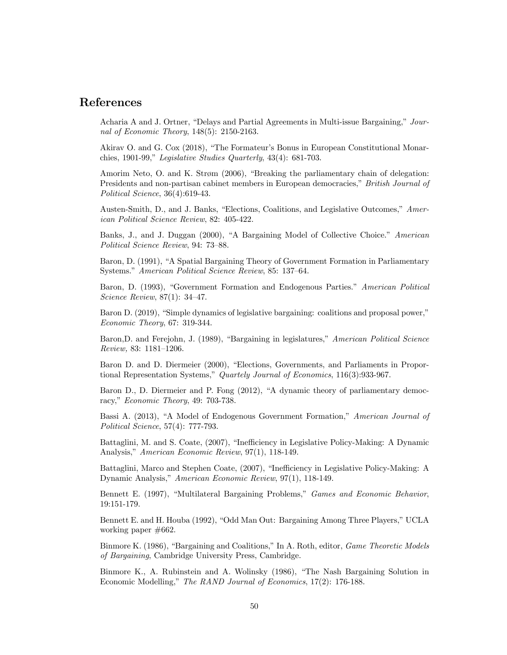# References

Acharia A and J. Ortner, "Delays and Partial Agreements in Multi-issue Bargaining," Journal of Economic Theory, 148(5): 2150-2163.

Akirav O. and G. Cox (2018), "The Formateur's Bonus in European Constitutional Monarchies, 1901-99," Legislative Studies Quarterly, 43(4): 681-703.

Amorim Neto, O. and K. Strøm (2006), "Breaking the parliamentary chain of delegation: Presidents and non-partisan cabinet members in European democracies," British Journal of Political Science, 36(4):619-43.

Austen-Smith, D., and J. Banks, "Elections, Coalitions, and Legislative Outcomes," American Political Science Review, 82: 405-422.

Banks, J., and J. Duggan (2000), "A Bargaining Model of Collective Choice." American Political Science Review, 94: 73—88.

Baron, D. (1991), "A Spatial Bargaining Theory of Government Formation in Parliamentary Systems." American Political Science Review, 85: 137—64.

Baron, D. (1993), "Government Formation and Endogenous Parties." American Political Science Review, 87(1): 34—47.

Baron D. (2019), "Simple dynamics of legislative bargaining: coalitions and proposal power," Economic Theory, 67: 319-344.

Baron,D. and Ferejohn, J. (1989), "Bargaining in legislatures," American Political Science Review, 83: 1181—1206.

Baron D. and D. Diermeier (2000), "Elections, Governments, and Parliaments in Proportional Representation Systems," Quartely Journal of Economics, 116(3):933-967.

Baron D., D. Diermeier and P. Fong (2012), "A dynamic theory of parliamentary democracy," Economic Theory, 49: 703-738.

Bassi A. (2013), "A Model of Endogenous Government Formation," American Journal of Political Science, 57(4): 777-793.

Battaglini, M. and S. Coate, (2007), "Inefficiency in Legislative Policy-Making: A Dynamic Analysis," American Economic Review, 97(1), 118-149.

Battaglini, Marco and Stephen Coate, (2007), "Inefficiency in Legislative Policy-Making: A Dynamic Analysis," American Economic Review, 97(1), 118-149.

Bennett E. (1997), "Multilateral Bargaining Problems," Games and Economic Behavior, 19:151-179.

Bennett E. and H. Houba (1992), "Odd Man Out: Bargaining Among Three Players," UCLA working paper #662.

Binmore K. (1986), "Bargaining and Coalitions," In A. Roth, editor, Game Theoretic Models of Bargaining, Cambridge University Press, Cambridge.

Binmore K., A. Rubinstein and A. Wolinsky (1986), "The Nash Bargaining Solution in Economic Modelling," The RAND Journal of Economics, 17(2): 176-188.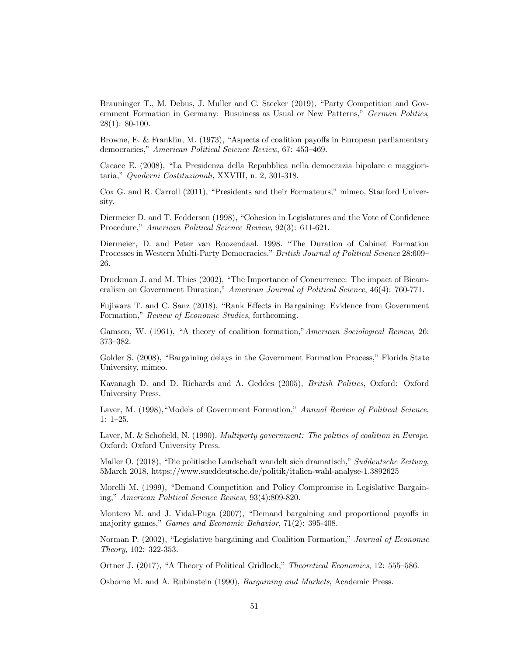Brauninger T., M. Debus, J. Muller and C. Stecker (2019), "Party Competition and Government Formation in Germany: Busuiness as Usual or New Patterns," German Politics, 28(1): 80-100.

Browne, E. & Franklin, M. (1973), "Aspects of coalition payoffs in European parliamentary democracies," American Political Science Review, 67: 453—469.

Cacace E. (2008), "La Presidenza della Repubblica nella democrazia bipolare e maggioritaria," Quaderni Costituzionali, XXVIII, n. 2, 301-318.

Cox G. and R. Carroll (2011), "Presidents and their Formateurs," mimeo, Stanford University.

Diermeier D. and T. Feddersen (1998), "Cohesion in Legislatures and the Vote of Confidence Procedure," American Political Science Review, 92(3): 611-621.

Diermeier, D. and Peter van Roozendaal. 1998. "The Duration of Cabinet Formation Processes in Western Multi-Party Democracies." British Journal of Political Science 28:609— 26.

Druckman J. and M. Thies (2002), "The Importance of Concurrence: The impact of Bicameralism on Government Duration," American Journal of Political Science, 46(4): 760-771.

Fujiwara T. and C. Sanz (2018), "Rank Effects in Bargaining: Evidence from Government Formation," Review of Economic Studies, forthcoming.

Gamson, W. (1961), "A theory of coalition formation,"American Sociological Review, 26: 373—382.

Golder S. (2008), "Bargaining delays in the Government Formation Process," Florida State University, mimeo.

Kavanagh D. and D. Richards and A. Geddes (2005), British Politics, Oxford: Oxford University Press.

Laver, M. (1998), "Models of Government Formation," Annual Review of Political Science, 1: 1—25.

Laver, M. & Schofield, N. (1990). Multiparty government: The politics of coalition in Europe. Oxford: Oxford University Press.

Mailer O. (2018), "Die politische Landschaft wandelt sich dramatisch," Suddeutsche Zeitung, 5March 2018, https://www.sueddeutsche.de/politik/italien-wahl-analyse-1.3892625

Morelli M. (1999), "Demand Competition and Policy Compromise in Legislative Bargaining," American Political Science Review, 93(4):809-820.

Montero M. and J. Vidal-Puga (2007), "Demand bargaining and proportional payoffs in majority games," Games and Economic Behavior, 71(2): 395-408.

Norman P. (2002), "Legislative bargaining and Coalition Formation," Journal of Economic Theory, 102: 322-353.

Ortner J. (2017), "A Theory of Political Gridlock," Theoretical Economics, 12: 555—586.

Osborne M. and A. Rubinstein (1990), Bargaining and Markets, Academic Press.